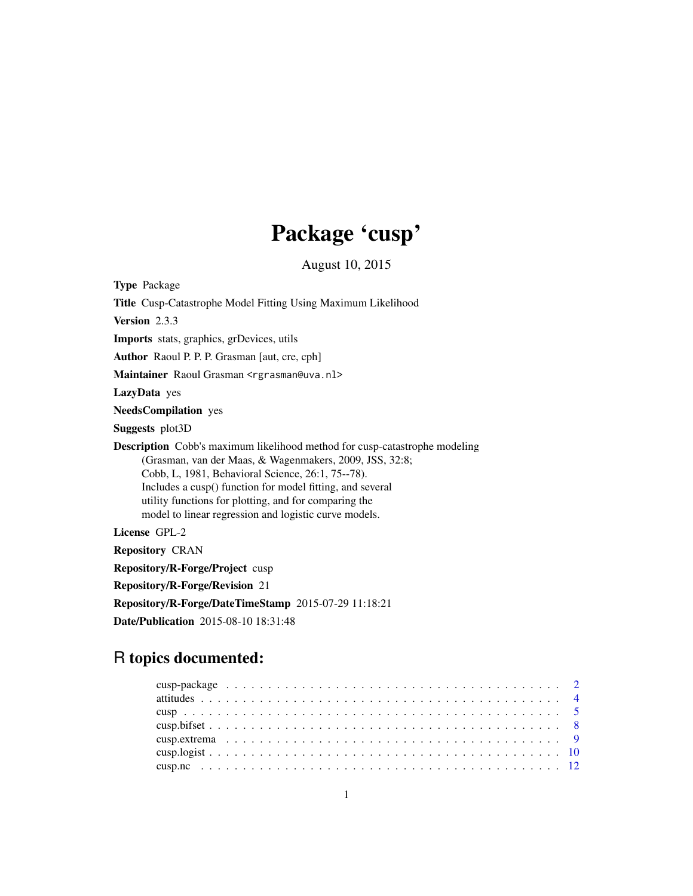# Package 'cusp'

August 10, 2015

<span id="page-0-0"></span>Type Package Title Cusp-Catastrophe Model Fitting Using Maximum Likelihood Version 2.3.3 Imports stats, graphics, grDevices, utils Author Raoul P. P. P. Grasman [aut, cre, cph] Maintainer Raoul Grasman <rgrasman@uva.nl> LazyData yes NeedsCompilation yes Suggests plot3D Description Cobb's maximum likelihood method for cusp-catastrophe modeling (Grasman, van der Maas, & Wagenmakers, 2009, JSS, 32:8; Cobb, L, 1981, Behavioral Science, 26:1, 75--78). Includes a cusp() function for model fitting, and several utility functions for plotting, and for comparing the model to linear regression and logistic curve models. License GPL-2 Repository CRAN Repository/R-Forge/Project cusp Repository/R-Forge/Revision 21 Repository/R-Forge/DateTimeStamp 2015-07-29 11:18:21

# R topics documented:

Date/Publication 2015-08-10 18:31:48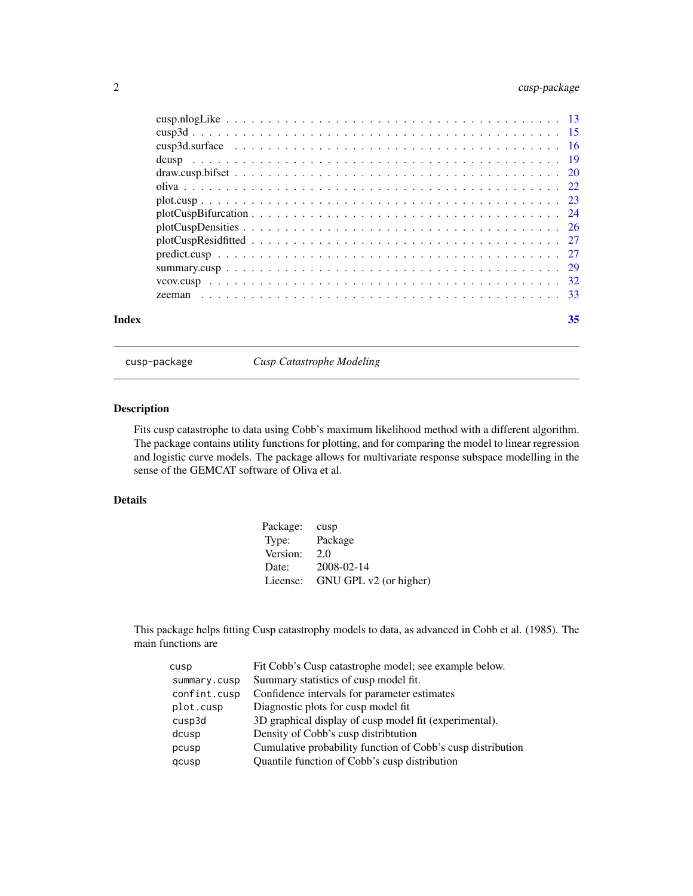# <span id="page-1-0"></span>2 cusp-package

| Index | 35 |
|-------|----|

<span id="page-1-1"></span>cusp-package *Cusp Catastrophe Modeling*

# Description

Fits cusp catastrophe to data using Cobb's maximum likelihood method with a different algorithm. The package contains utility functions for plotting, and for comparing the model to linear regression and logistic curve models. The package allows for multivariate response subspace modelling in the sense of the GEMCAT software of Oliva et al.

# Details

| Package: | cusp                   |
|----------|------------------------|
| Type:    | Package                |
| Version: | 2.0                    |
| Date:    | 2008-02-14             |
| License: | GNU GPL v2 (or higher) |

This package helps fitting Cusp catastrophy models to data, as advanced in Cobb et al. (1985). The main functions are

| cusp         | Fit Cobb's Cusp catastrophe model; see example below.       |
|--------------|-------------------------------------------------------------|
| summary.cusp | Summary statistics of cusp model fit.                       |
| confint.cusp | Confidence intervals for parameter estimates                |
| plot.cusp    | Diagnostic plots for cusp model fit.                        |
| cusp3d       | 3D graphical display of cusp model fit (experimental).      |
| dcusp        | Density of Cobb's cusp distribution                         |
| pcusp        | Cumulative probability function of Cobb's cusp distribution |
| qcusp        | Quantile function of Cobb's cusp distribution               |
|              |                                                             |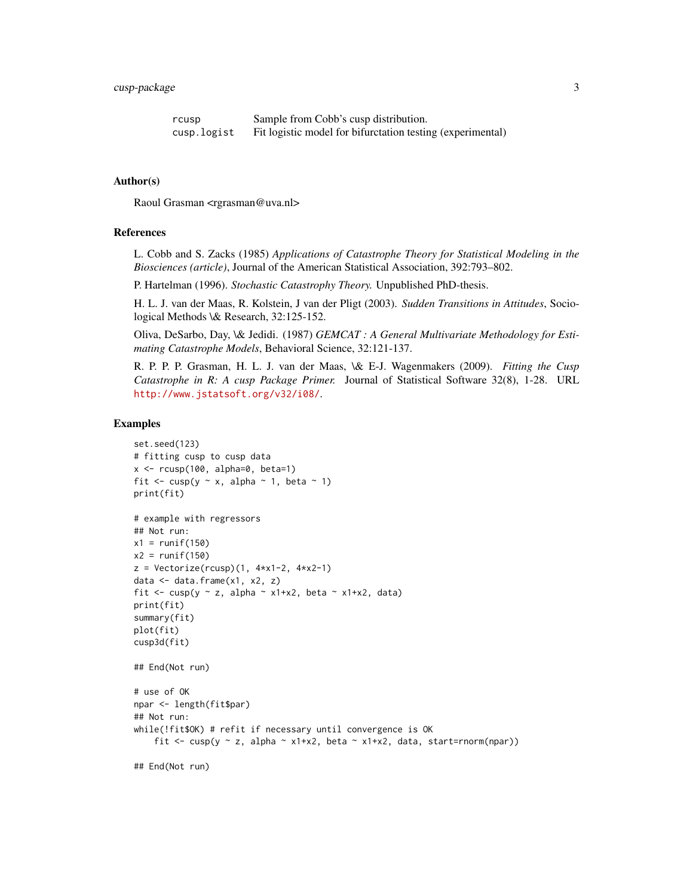| rcusp       | Sample from Cobb's cusp distribution.                      |
|-------------|------------------------------------------------------------|
| cusp.logist | Fit logistic model for bifurctation testing (experimental) |

#### Author(s)

Raoul Grasman <rgrasman@uva.nl>

#### References

L. Cobb and S. Zacks (1985) *Applications of Catastrophe Theory for Statistical Modeling in the Biosciences (article)*, Journal of the American Statistical Association, 392:793–802.

P. Hartelman (1996). *Stochastic Catastrophy Theory.* Unpublished PhD-thesis.

H. L. J. van der Maas, R. Kolstein, J van der Pligt (2003). *Sudden Transitions in Attitudes*, Sociological Methods \& Research, 32:125-152.

Oliva, DeSarbo, Day, \& Jedidi. (1987) *GEMCAT : A General Multivariate Methodology for Estimating Catastrophe Models*, Behavioral Science, 32:121-137.

R. P. P. P. Grasman, H. L. J. van der Maas, \& E-J. Wagenmakers (2009). *Fitting the Cusp Catastrophe in R: A cusp Package Primer.* Journal of Statistical Software 32(8), 1-28. URL <http://www.jstatsoft.org/v32/i08/>.

#### Examples

```
set.seed(123)
# fitting cusp to cusp data
x \le -r \cosh(100, \text{alpha=0}, \text{beta=1})fit \leq cusp(y \sim x, alpha \sim 1, beta \sim 1)
print(fit)
# example with regressors
## Not run:
x1 = runif(150)x2 = runif(150)z = Vectorize(rcusp)(1, 4*x1-2, 4*x2-1)data <- data.frame(x1, x2, z)
fit <- cusp(y \sim z, alpha \sim x1+x2, beta \sim x1+x2, data)
print(fit)
summary(fit)
plot(fit)
cusp3d(fit)
## End(Not run)
# use of OK
npar <- length(fit$par)
## Not run:
while(!fit$OK) # refit if necessary until convergence is OK
    fit <- cusp(y \sim z, alpha \sim x1+x2, beta \sim x1+x2, data, start=rnorm(npar))
## End(Not run)
```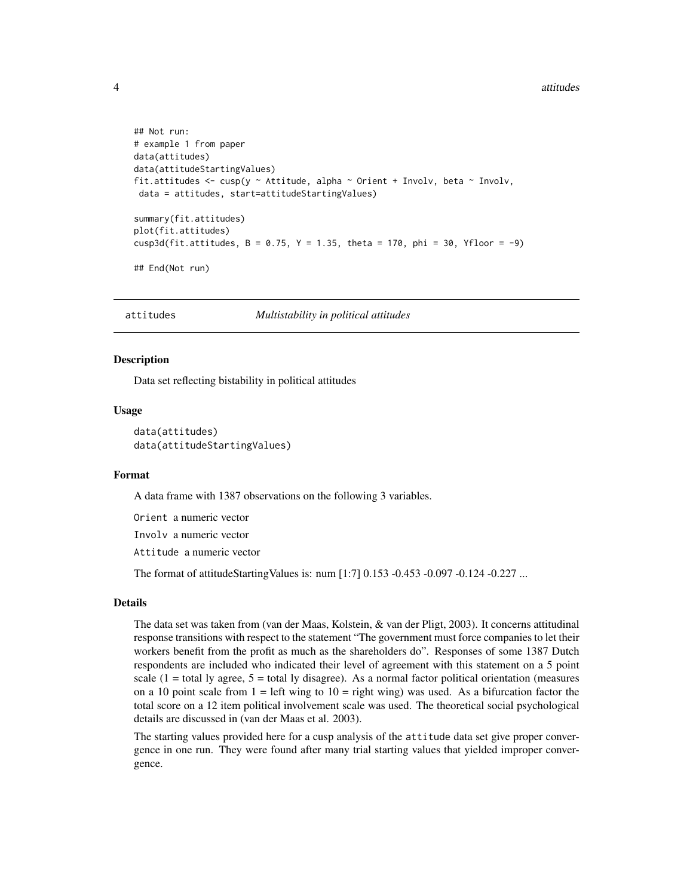```
## Not run:
# example 1 from paper
data(attitudes)
data(attitudeStartingValues)
fit.attitudes <- cusp(y \sim Attitude, alpha \sim Orient + Involv, beta \sim Involv,
data = attitudes, start=attitudeStartingValues)
summary(fit.attitudes)
plot(fit.attitudes)
cusp3d(fit.attitudes, B = 0.75, Y = 1.35, theta = 170, phi = 30, Yfloor = -9)
## End(Not run)
```
attitudes *Multistability in political attitudes*

#### Description

Data set reflecting bistability in political attitudes

#### Usage

data(attitudes) data(attitudeStartingValues)

#### Format

A data frame with 1387 observations on the following 3 variables.

Orient a numeric vector

Involv a numeric vector

Attitude a numeric vector

The format of attitudeStartingValues is: num [1:7] 0.153 -0.453 -0.097 -0.124 -0.227 ...

### Details

The data set was taken from (van der Maas, Kolstein, & van der Pligt, 2003). It concerns attitudinal response transitions with respect to the statement "The government must force companies to let their workers benefit from the profit as much as the shareholders do". Responses of some 1387 Dutch respondents are included who indicated their level of agreement with this statement on a 5 point scale  $(1 = total \, \text{ly agree}, 5 = total \, \text{ly disagree}).$  As a normal factor political orientation (measures on a 10 point scale from  $1 = \text{left wing to } 10 = \text{right wing) was used. As a bifurcation factor the$ total score on a 12 item political involvement scale was used. The theoretical social psychological details are discussed in (van der Maas et al. 2003).

The starting values provided here for a cusp analysis of the attitude data set give proper convergence in one run. They were found after many trial starting values that yielded improper convergence.

<span id="page-3-0"></span>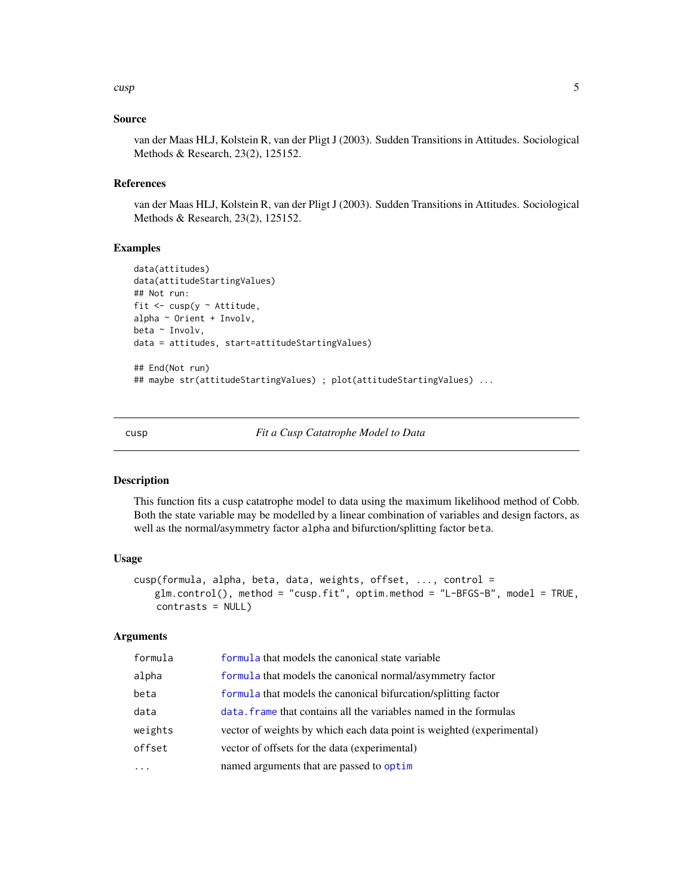#### <span id="page-4-0"></span>cusp 5

## Source

van der Maas HLJ, Kolstein R, van der Pligt J (2003). Sudden Transitions in Attitudes. Sociological Methods & Research, 23(2), 125152.

#### References

van der Maas HLJ, Kolstein R, van der Pligt J (2003). Sudden Transitions in Attitudes. Sociological Methods & Research, 23(2), 125152.

# Examples

```
data(attitudes)
data(attitudeStartingValues)
## Not run:
fit \leq cusp(y \sim Attitude,
alpha \sim Orient + Involv,
beta ~ Involv,
data = attitudes, start=attitudeStartingValues)
## End(Not run)
## maybe str(attitudeStartingValues) ; plot(attitudeStartingValues) ...
```
<span id="page-4-1"></span>cusp *Fit a Cusp Catatrophe Model to Data*

#### Description

This function fits a cusp catatrophe model to data using the maximum likelihood method of Cobb. Both the state variable may be modelled by a linear combination of variables and design factors, as well as the normal/asymmetry factor alpha and bifurction/splitting factor beta.

#### Usage

```
cusp(formula, alpha, beta, data, weights, offset, ..., control =
   glm.control(), method = "cusp.fit", optim.method = "L-BFGS-B", model = TRUE,
   contrasts = NULL)
```
#### Arguments

| formula  | formula that models the canonical state variable                      |
|----------|-----------------------------------------------------------------------|
| alpha    | formula that models the canonical normal/asymmetry factor             |
| beta     | formula that models the canonical bifurcation/splitting factor        |
| data     | data. Frame that contains all the variables named in the formulas     |
| weights  | vector of weights by which each data point is weighted (experimental) |
| offset   | vector of offsets for the data (experimental)                         |
| $\cdots$ | named arguments that are passed to optim                              |
|          |                                                                       |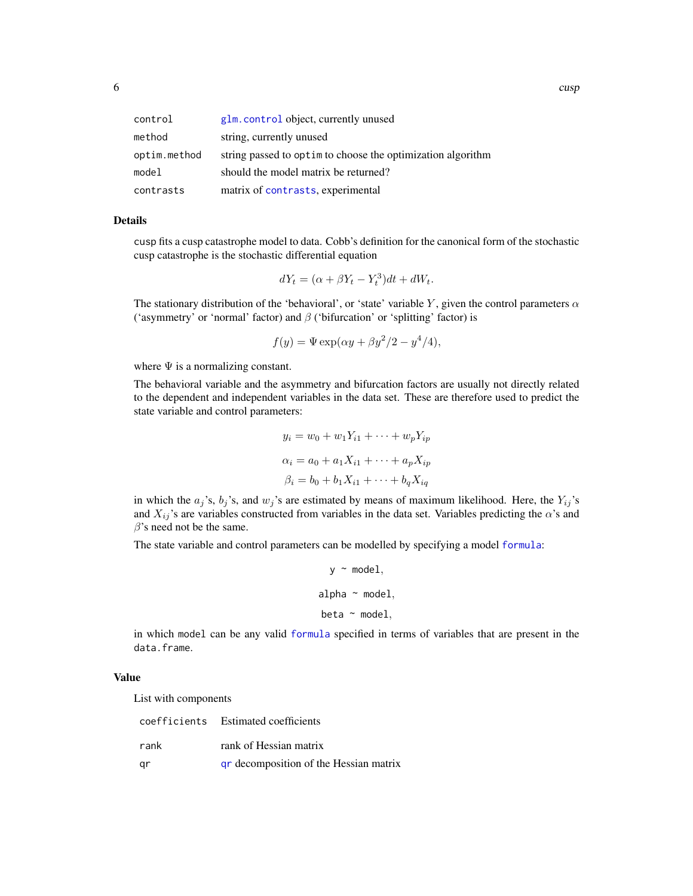<span id="page-5-0"></span>

| control      | glm. control object, currently unused                        |
|--------------|--------------------------------------------------------------|
| method       | string, currently unused                                     |
| optim.method | string passed to optimeter choose the optimization algorithm |
| model        | should the model matrix be returned?                         |
| contrasts    | matrix of contrasts, experimental                            |

#### Details

cusp fits a cusp catastrophe model to data. Cobb's definition for the canonical form of the stochastic cusp catastrophe is the stochastic differential equation

$$
dY_t = (\alpha + \beta Y_t - Y_t^3)dt + dW_t.
$$

The stationary distribution of the 'behavioral', or 'state' variable Y, given the control parameters  $\alpha$ ('asymmetry' or 'normal' factor) and  $\beta$  ('bifurcation' or 'splitting' factor) is

$$
f(y) = \Psi \exp(\alpha y + \beta y^2/2 - y^4/4),
$$

where  $\Psi$  is a normalizing constant.

The behavioral variable and the asymmetry and bifurcation factors are usually not directly related to the dependent and independent variables in the data set. These are therefore used to predict the state variable and control parameters:

$$
y_i = w_0 + w_1 Y_{i1} + \dots + w_p Y_{ip}
$$
  
\n
$$
\alpha_i = a_0 + a_1 X_{i1} + \dots + a_p X_{ip}
$$
  
\n
$$
\beta_i = b_0 + b_1 X_{i1} + \dots + b_q X_{iq}
$$

in which the  $a_j$ 's,  $b_j$ 's, and  $w_j$ 's are estimated by means of maximum likelihood. Here, the  $Y_{ij}$ 's and  $X_{ij}$ 's are variables constructed from variables in the data set. Variables predicting the  $\alpha$ 's and  $\beta$ 's need not be the same.

The state variable and control parameters can be modelled by specifying a model [formula](#page-0-0):

```
y \sim model,
alpha \sim model,
beta \sim model,
```
in which model can be any valid [formula](#page-0-0) specified in terms of variables that are present in the data.frame.

# Value

List with components

|      | coefficients Estimated coefficients    |
|------|----------------------------------------|
| rank | rank of Hessian matrix                 |
| qr   | gr decomposition of the Hessian matrix |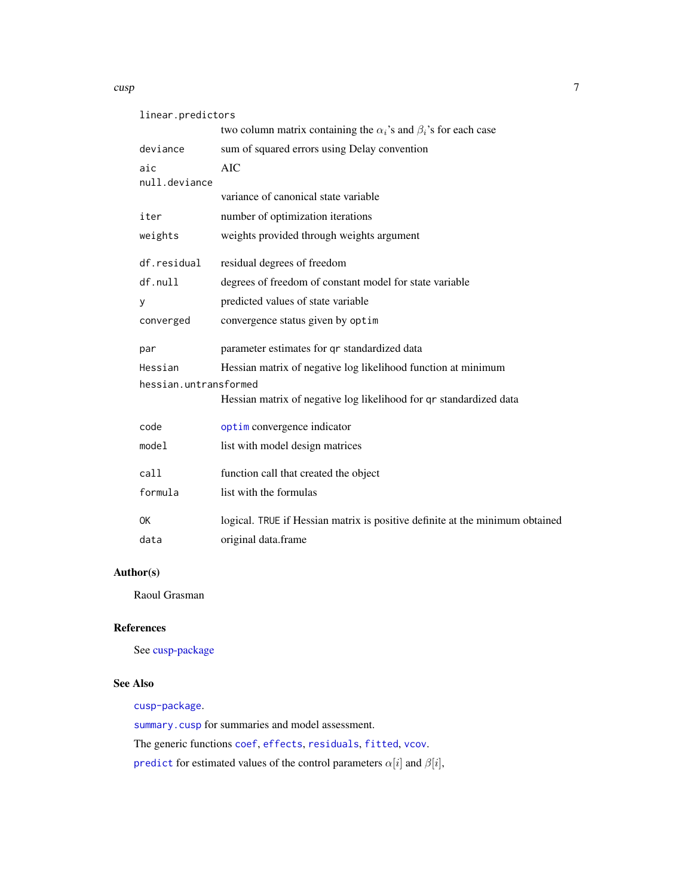#### <span id="page-6-0"></span>cusp 7

| linear.predictors     |                                                                               |
|-----------------------|-------------------------------------------------------------------------------|
|                       | two column matrix containing the $\alpha_i$ 's and $\beta_i$ 's for each case |
| deviance              | sum of squared errors using Delay convention                                  |
| aic                   | AIC                                                                           |
| null.deviance         | variance of canonical state variable                                          |
|                       |                                                                               |
| iter                  | number of optimization iterations                                             |
| weights               | weights provided through weights argument                                     |
| df.residual           | residual degrees of freedom                                                   |
| df.null               | degrees of freedom of constant model for state variable                       |
| У                     | predicted values of state variable                                            |
| converged             | convergence status given by optim                                             |
| par                   | parameter estimates for qr standardized data                                  |
| Hessian               | Hessian matrix of negative log likelihood function at minimum                 |
| hessian.untransformed |                                                                               |
|                       | Hessian matrix of negative log likelihood for qr standardized data            |
| code                  | optim convergence indicator                                                   |
| model                 | list with model design matrices                                               |
| call                  | function call that created the object                                         |
| formula               | list with the formulas                                                        |
| 0K                    | logical. TRUE if Hessian matrix is positive definite at the minimum obtained  |
| data                  | original data.frame                                                           |
|                       |                                                                               |

# Author(s)

Raoul Grasman

# References

See [cusp-package](#page-1-1)

#### See Also

[cusp-package](#page-1-1).

[summary.cusp](#page-28-1) for summaries and model assessment.

The generic functions [coef](#page-0-0), [effects](#page-0-0), [residuals](#page-0-0), [fitted](#page-0-0), [vcov](#page-0-0).

[predict](#page-0-0) for estimated values of the control parameters  $\alpha[i]$  and  $\beta[i],$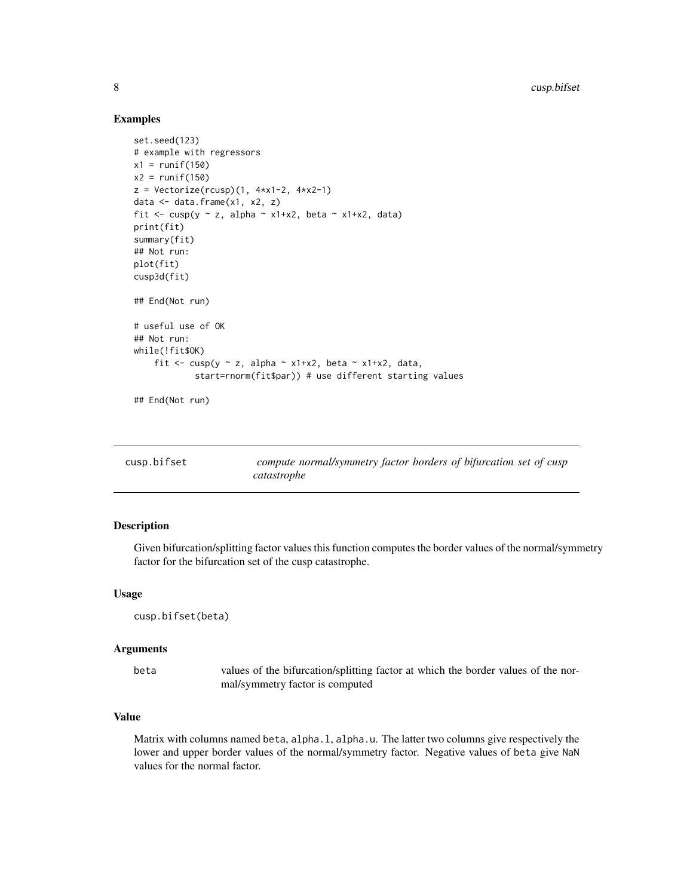# Examples

```
set.seed(123)
# example with regressors
x1 = runif(150)x2 = runif(150)z = Vectorize(rcusp)(1, 4*x1-2, 4*x2-1)data <- data.frame(x1, x2, z)
fit <- cusp(y \sim z, alpha \sim x1+x2, beta \sim x1+x2, data)
print(fit)
summary(fit)
## Not run:
plot(fit)
cusp3d(fit)
## End(Not run)
# useful use of OK
## Not run:
while(!fit$OK)
    fit <- cusp(y \sim z, alpha \sim x1+x2, beta \sim x1+x2, data,
            start=rnorm(fit$par)) # use different starting values
## End(Not run)
```
<span id="page-7-1"></span>

| cusp.bifset | compute normal/symmetry factor borders of bifurcation set of cusp |
|-------------|-------------------------------------------------------------------|
|             | catastrophe                                                       |

#### Description

Given bifurcation/splitting factor values this function computes the border values of the normal/symmetry factor for the bifurcation set of the cusp catastrophe.

#### Usage

```
cusp.bifset(beta)
```
#### Arguments

beta values of the bifurcation/splitting factor at which the border values of the normal/symmetry factor is computed

#### Value

Matrix with columns named beta, alpha.l, alpha.u. The latter two columns give respectively the lower and upper border values of the normal/symmetry factor. Negative values of beta give NaN values for the normal factor.

<span id="page-7-0"></span>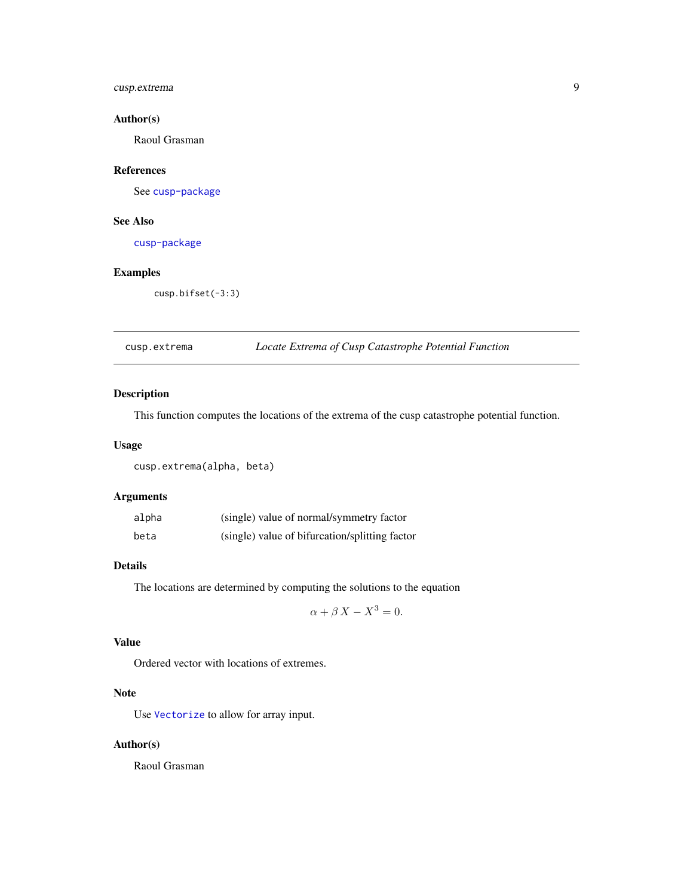# <span id="page-8-0"></span>cusp.extrema 9

# Author(s)

Raoul Grasman

# References

See [cusp-package](#page-1-1)

# See Also

[cusp-package](#page-1-1)

# Examples

cusp.bifset(-3:3)

# cusp.extrema *Locate Extrema of Cusp Catastrophe Potential Function*

# Description

This function computes the locations of the extrema of the cusp catastrophe potential function.

#### Usage

cusp.extrema(alpha, beta)

# Arguments

| alpha | (single) value of normal/symmetry factor       |
|-------|------------------------------------------------|
| beta  | (single) value of bifurcation/splitting factor |

# Details

The locations are determined by computing the solutions to the equation

$$
\alpha + \beta X - X^3 = 0.
$$

# Value

Ordered vector with locations of extremes.

# Note

Use [Vectorize](#page-0-0) to allow for array input.

# Author(s)

Raoul Grasman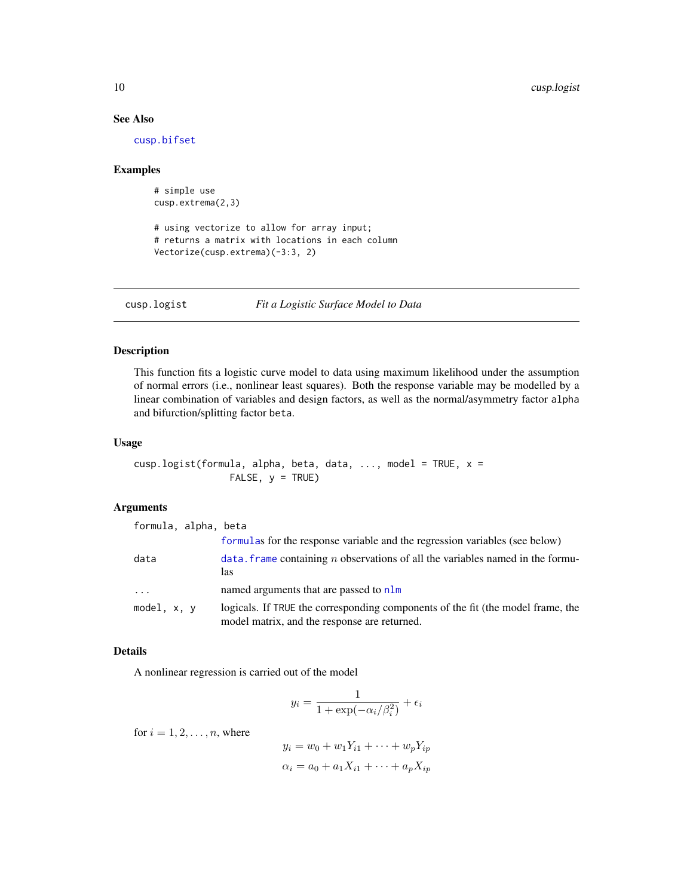# See Also

[cusp.bifset](#page-7-1)

#### Examples

```
# simple use
cusp.extrema(2,3)
```

```
# using vectorize to allow for array input;
# returns a matrix with locations in each column
Vectorize(cusp.extrema)(-3:3, 2)
```
<span id="page-9-1"></span>

cusp.logist *Fit a Logistic Surface Model to Data*

#### Description

This function fits a logistic curve model to data using maximum likelihood under the assumption of normal errors (i.e., nonlinear least squares). Both the response variable may be modelled by a linear combination of variables and design factors, as well as the normal/asymmetry factor alpha and bifurction/splitting factor beta.

# Usage

```
cusp.logist(formula, alpha, beta, data, ..., model = TRUE, x =FALSE, y = TRUE)
```
## Arguments

| formula, alpha, beta    |                                                                                                                                 |
|-------------------------|---------------------------------------------------------------------------------------------------------------------------------|
|                         | formulas for the response variable and the regression variables (see below)                                                     |
| data                    | data. Frame containing $n$ observations of all the variables named in the formu-<br>las                                         |
| $\cdot$ $\cdot$ $\cdot$ | named arguments that are passed to nlm                                                                                          |
| model, x, y             | logicals. If TRUE the corresponding components of the fit (the model frame, the<br>model matrix, and the response are returned. |

#### Details

A nonlinear regression is carried out of the model

$$
y_i = \frac{1}{1 + \exp(-\alpha_i/\beta_i^2)} + \epsilon_i
$$

for  $i = 1, 2, \ldots, n$ , where

$$
y_i = w_0 + w_1 Y_{i1} + \dots + w_p Y_{ip}
$$

$$
\alpha_i = a_0 + a_1 X_{i1} + \dots + a_p X_{ip}
$$

<span id="page-9-0"></span>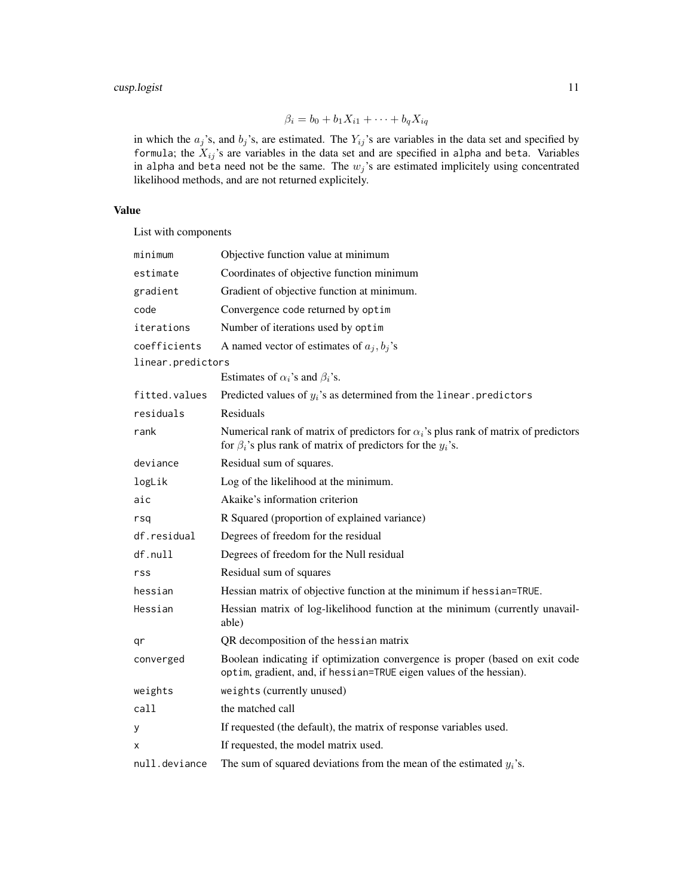# cusp.logist 11

$$
\beta_i = b_0 + b_1 X_{i1} + \dots + b_q X_{iq}
$$

in which the  $a_j$ 's, and  $b_j$ 's, are estimated. The  $Y_{ij}$ 's are variables in the data set and specified by formula; the  $X_{ij}$ 's are variables in the data set and are specified in alpha and beta. Variables in alpha and beta need not be the same. The  $w_j$ 's are estimated implicitely using concentrated likelihood methods, and are not returned explicitely.

# Value

List with components

| minimum           | Objective function value at minimum                                                                                                                                |  |
|-------------------|--------------------------------------------------------------------------------------------------------------------------------------------------------------------|--|
| estimate          | Coordinates of objective function minimum                                                                                                                          |  |
| gradient          | Gradient of objective function at minimum.                                                                                                                         |  |
| code              | Convergence code returned by optim                                                                                                                                 |  |
| iterations        | Number of iterations used by optim                                                                                                                                 |  |
| coefficients      | A named vector of estimates of $a_j, b_j$ 's                                                                                                                       |  |
| linear.predictors |                                                                                                                                                                    |  |
|                   | Estimates of $\alpha_i$ 's and $\beta_i$ 's.                                                                                                                       |  |
| fitted.values     | Predicted values of $y_i$ 's as determined from the linear predictors                                                                                              |  |
| residuals         | Residuals                                                                                                                                                          |  |
| rank              | Numerical rank of matrix of predictors for $\alpha_i$ 's plus rank of matrix of predictors<br>for $\beta_i$ 's plus rank of matrix of predictors for the $y_i$ 's. |  |
| deviance          | Residual sum of squares.                                                                                                                                           |  |
| logLik            | Log of the likelihood at the minimum.                                                                                                                              |  |
| aic               | Akaike's information criterion                                                                                                                                     |  |
| rsq               | R Squared (proportion of explained variance)                                                                                                                       |  |
| df.residual       | Degrees of freedom for the residual                                                                                                                                |  |
| df.null           | Degrees of freedom for the Null residual                                                                                                                           |  |
| rss               | Residual sum of squares                                                                                                                                            |  |
| hessian           | Hessian matrix of objective function at the minimum if hessian=TRUE.                                                                                               |  |
| Hessian           | Hessian matrix of log-likelihood function at the minimum (currently unavail-<br>able)                                                                              |  |
| qr                | QR decomposition of the hessian matrix                                                                                                                             |  |
| converged         | Boolean indicating if optimization convergence is proper (based on exit code<br>optim, gradient, and, if hessian=TRUE eigen values of the hessian).                |  |
| weights           | weights (currently unused)                                                                                                                                         |  |
| call              | the matched call                                                                                                                                                   |  |
| у                 | If requested (the default), the matrix of response variables used.                                                                                                 |  |
| X                 | If requested, the model matrix used.                                                                                                                               |  |
| null.deviance     | The sum of squared deviations from the mean of the estimated $y_i$ 's.                                                                                             |  |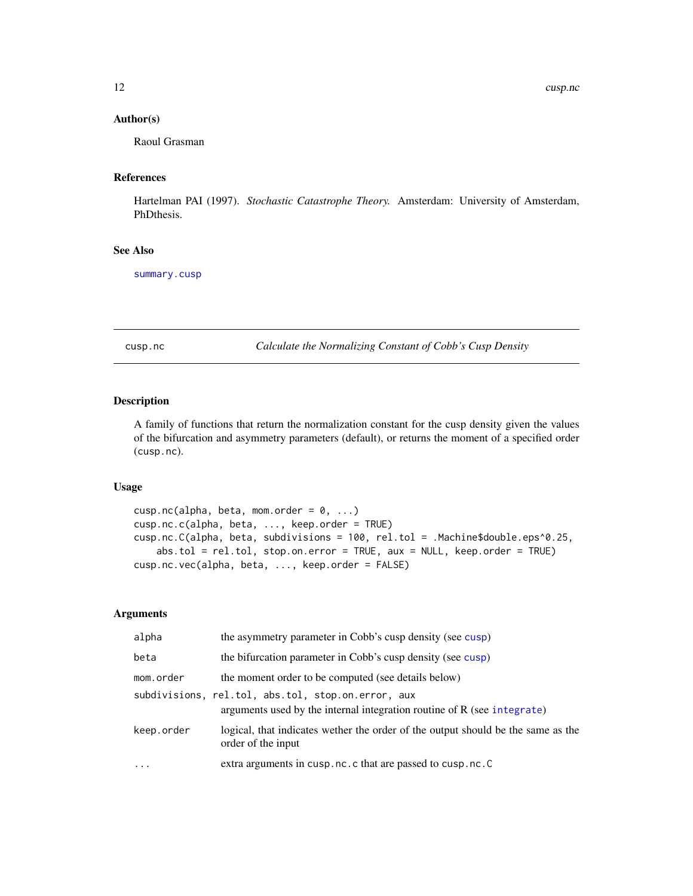# <span id="page-11-0"></span>Author(s)

Raoul Grasman

# References

Hartelman PAI (1997). *Stochastic Catastrophe Theory.* Amsterdam: University of Amsterdam, PhDthesis.

# See Also

[summary.cusp](#page-28-1)

cusp.nc *Calculate the Normalizing Constant of Cobb's Cusp Density*

# Description

A family of functions that return the normalization constant for the cusp density given the values of the bifurcation and asymmetry parameters (default), or returns the moment of a specified order (cusp.nc).

# Usage

```
cusp.nc(alpha, beta, mom.order = 0, ...)
cusp.nc.c(alpha, beta, ..., keep.order = TRUE)
cusp.nc.C(alpha, beta, subdivisions = 100, rel.tol = .Machine$double.eps^0.25,
    abs.tol = rel.tol, stop.on.error = TRUE, aux = NULL, keep.order = TRUE)
cusp.nc.vec(alpha, beta, ..., keep.order = FALSE)
```
#### Arguments

| alpha      | the asymmetry parameter in Cobb's cusp density (see cusp)                                                                     |
|------------|-------------------------------------------------------------------------------------------------------------------------------|
| beta       | the bifurcation parameter in Cobb's cusp density (see cusp)                                                                   |
| mom.order  | the moment order to be computed (see details below)                                                                           |
|            | subdivisions, rel.tol, abs.tol, stop.on.error, aux<br>arguments used by the internal integration routine of R (see integrate) |
| keep.order | logical, that indicates wether the order of the output should be the same as the<br>order of the input                        |
| $\cdot$    | extra arguments in cusp.nc.c that are passed to cusp.nc.C                                                                     |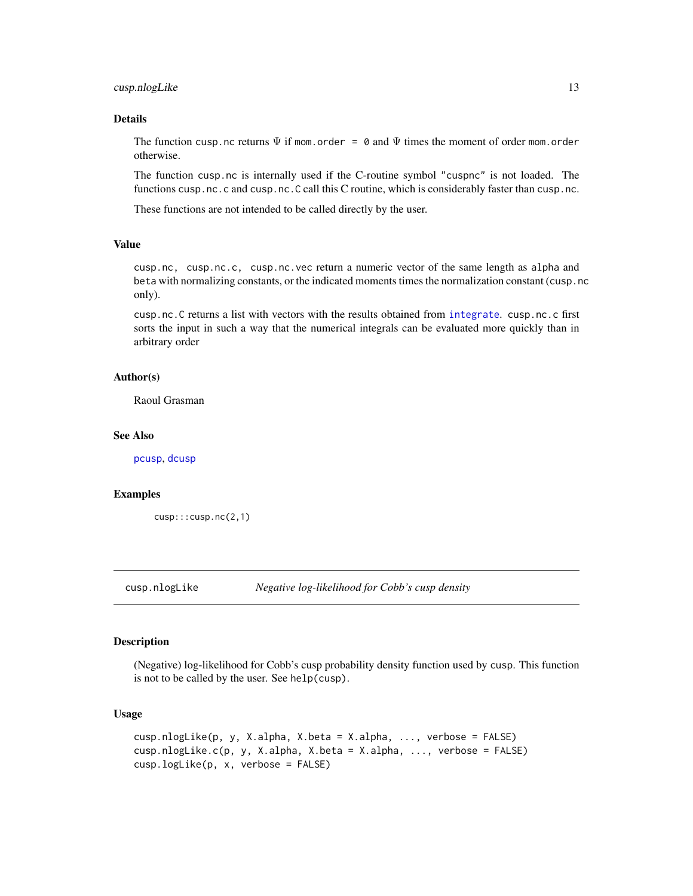# <span id="page-12-0"></span>cusp.nlogLike 13

### Details

The function cusp.nc returns  $\Psi$  if mom.order = 0 and  $\Psi$  times the moment of order mom.order otherwise.

The function cusp.nc is internally used if the C-routine symbol "cuspnc" is not loaded. The functions cusp.nc.c and cusp.nc.C call this C routine, which is considerably faster than cusp.nc.

These functions are not intended to be called directly by the user.

# Value

cusp.nc, cusp.nc.c, cusp.nc.vec return a numeric vector of the same length as alpha and beta with normalizing constants, or the indicated moments times the normalization constant (cusp.nc only).

cusp.nc.C returns a list with vectors with the results obtained from [integrate](#page-0-0). cusp.nc.c first sorts the input in such a way that the numerical integrals can be evaluated more quickly than in arbitrary order

#### Author(s)

Raoul Grasman

### See Also

[pcusp](#page-18-1), [dcusp](#page-18-2)

#### Examples

```
cusp:::cusp.nc(2,1)
```
cusp.nlogLike *Negative log-likelihood for Cobb's cusp density*

#### **Description**

(Negative) log-likelihood for Cobb's cusp probability density function used by cusp. This function is not to be called by the user. See help(cusp).

#### Usage

```
cusp.nlogLike(p, y, X.alpha, X.beta = X.alpha, ..., verbose = FALSE)
cusp.nlogLike.c(p, y, X.alpha, X.beta = X.alpha, ..., verbose = FALSE)
cusp.logLike(p, x, verbose = FALSE)
```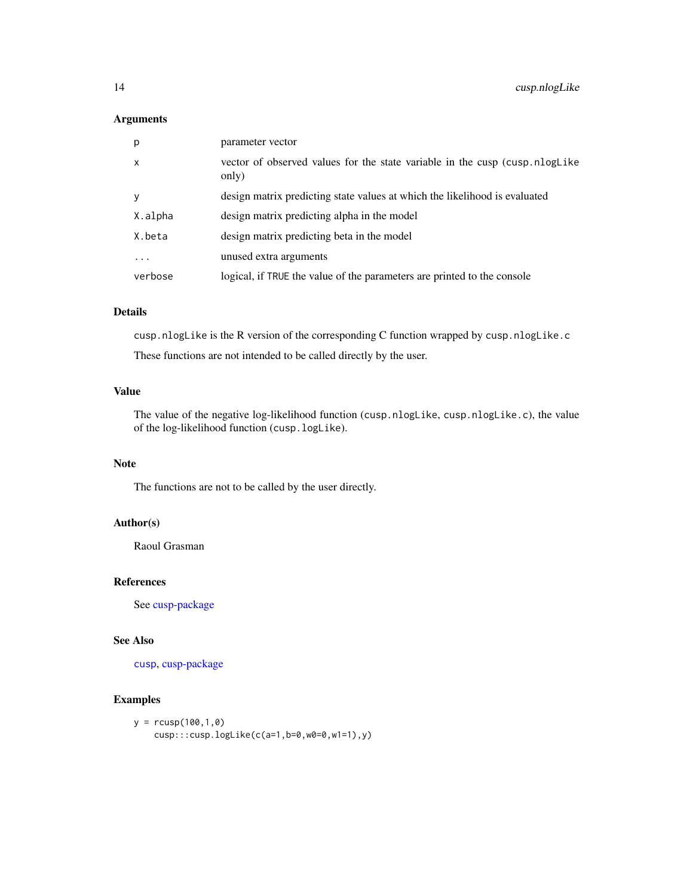# <span id="page-13-0"></span>Arguments

| p       | parameter vector                                                                      |
|---------|---------------------------------------------------------------------------------------|
| X       | vector of observed values for the state variable in the cusp (cusp.nlogLike)<br>only) |
| V       | design matrix predicting state values at which the likelihood is evaluated            |
| X.alpha | design matrix predicting alpha in the model                                           |
| X.beta  | design matrix predicting beta in the model                                            |
| .       | unused extra arguments                                                                |
| verbose | logical, if TRUE the value of the parameters are printed to the console               |

# Details

cusp.nlogLike is the R version of the corresponding C function wrapped by cusp.nlogLike.c These functions are not intended to be called directly by the user.

# Value

The value of the negative log-likelihood function (cusp.nlogLike, cusp.nlogLike.c), the value of the log-likelihood function (cusp.logLike).

### Note

The functions are not to be called by the user directly.

# Author(s)

Raoul Grasman

# References

See [cusp-package](#page-1-1)

# See Also

[cusp](#page-4-1), [cusp-package](#page-1-1)

# Examples

```
y = r \cos(100, 1, 0)cusp:::cusp.logLike(c(a=1,b=0,w0=0,w1=1),y)
```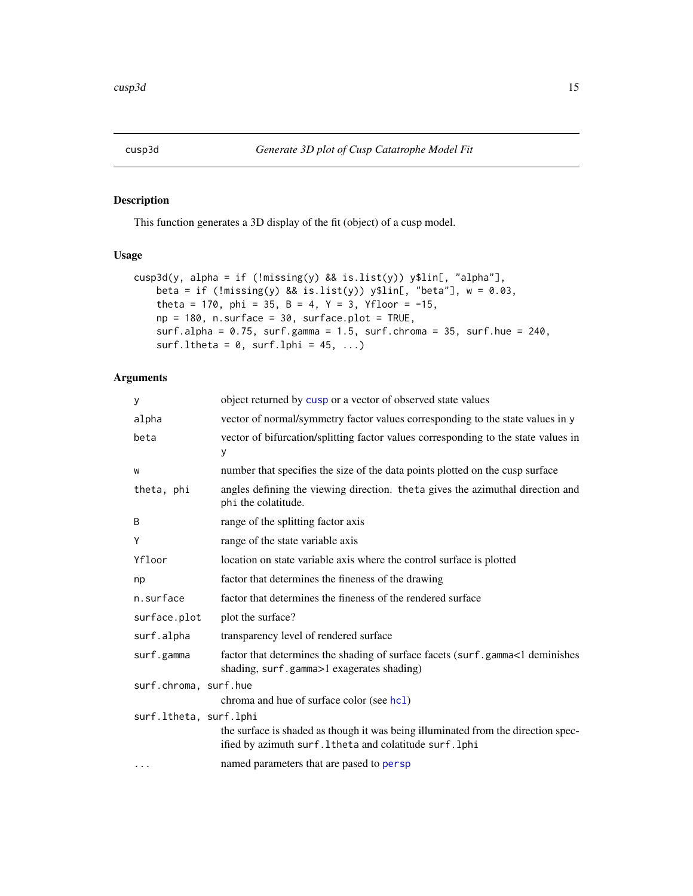# <span id="page-14-1"></span><span id="page-14-0"></span>Description

This function generates a 3D display of the fit (object) of a cusp model.

# Usage

```
cusp3d(y, alpha = if (!missing(y) & is.list(y)) y$lin[, "alpha".beta = if (!missing(y) && is.list(y)) y$lin[, "beta"], w = 0.03,
   theta = 170, phi = 35, B = 4, Y = 3, Yfloor = -15,
   np = 180, n.surface = 30, surface.plot = TRUE,
   surf.alpha = 0.75, surf.gamma = 1.5, surf.chroma = 35, surf.hue = 240,
    surf.ltheta = 0, surf.lphi = 45, ...)
```
# Arguments

| У                      | object returned by cusp or a vector of observed state values                                                                                    |  |
|------------------------|-------------------------------------------------------------------------------------------------------------------------------------------------|--|
| alpha                  | vector of normal/symmetry factor values corresponding to the state values in y                                                                  |  |
| beta                   | vector of bifurcation/splitting factor values corresponding to the state values in<br>у                                                         |  |
| W                      | number that specifies the size of the data points plotted on the cusp surface                                                                   |  |
| theta, phi             | angles defining the viewing direction. theta gives the azimuthal direction and<br>phi the colatitude.                                           |  |
| B                      | range of the splitting factor axis                                                                                                              |  |
| Y                      | range of the state variable axis                                                                                                                |  |
| Yfloor                 | location on state variable axis where the control surface is plotted                                                                            |  |
| np                     | factor that determines the fineness of the drawing                                                                                              |  |
| n.surface              | factor that determines the fineness of the rendered surface                                                                                     |  |
| surface.plot           | plot the surface?                                                                                                                               |  |
| surf.alpha             | transparency level of rendered surface                                                                                                          |  |
| surf.gamma             | factor that determines the shading of surface facets (surf.gamma<1 deminishes<br>shading, surf.gamma>1 exagerates shading)                      |  |
| surf.chroma, surf.hue  |                                                                                                                                                 |  |
|                        | chroma and hue of surface color (see hc1)                                                                                                       |  |
| surf.ltheta, surf.lphi |                                                                                                                                                 |  |
|                        | the surface is shaded as though it was being illuminated from the direction spec-<br>ified by azimuth surf. 1 the ta and colatitude surf. 1 phi |  |
| $\cdots$               | named parameters that are pased to persp                                                                                                        |  |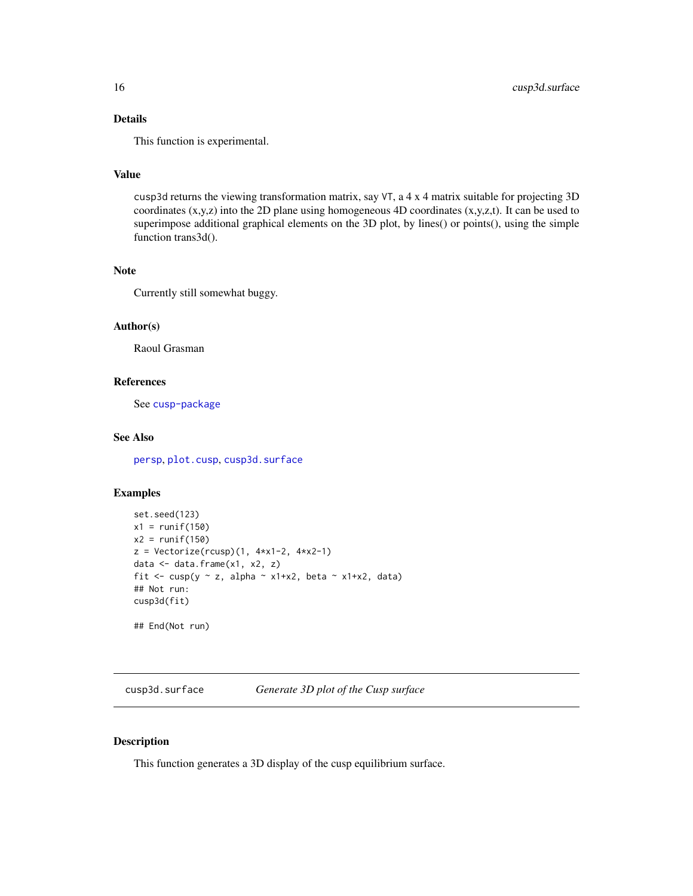# <span id="page-15-0"></span>Details

This function is experimental.

# Value

cusp3d returns the viewing transformation matrix, say VT, a 4 x 4 matrix suitable for projecting 3D coordinates  $(x,y,z)$  into the 2D plane using homogeneous 4D coordinates  $(x,y,z,t)$ . It can be used to superimpose additional graphical elements on the 3D plot, by lines() or points(), using the simple function trans3d().

# Note

Currently still somewhat buggy.

# Author(s)

Raoul Grasman

#### References

See [cusp-package](#page-1-1)

# See Also

[persp](#page-0-0), [plot.cusp](#page-22-1), [cusp3d.surface](#page-15-1)

#### Examples

```
set.seed(123)
x1 = runif(150)x2 = runif(150)z = Vectorize(rcusp)(1, 4*x1-2, 4*x2-1)data <- data.frame(x1, x2, z)
fit \leq cusp(y \sim z, alpha \sim x1+x2, beta \sim x1+x2, data)
## Not run:
cusp3d(fit)
```
## End(Not run)

<span id="page-15-1"></span>cusp3d.surface *Generate 3D plot of the Cusp surface*

# Description

This function generates a 3D display of the cusp equilibrium surface.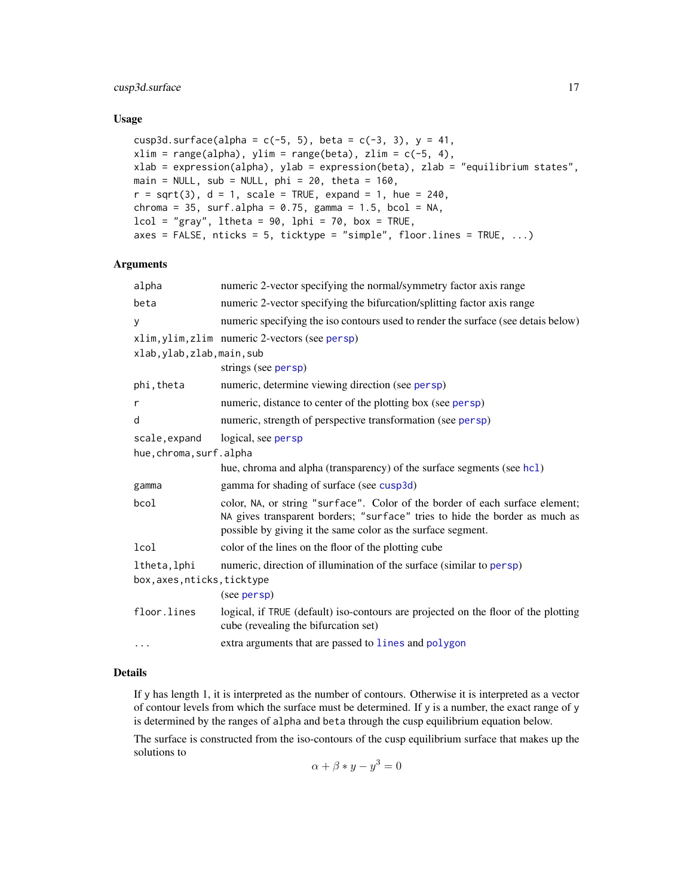# <span id="page-16-0"></span>cusp3d.surface 17

#### Usage

```
cusp3d.surface(alpha = c(-5, 5), beta = c(-3, 3), y = 41,
xlim = range(alpha), ylim = range(beta), zlim = c(-5, 4),
xlab = expression(alpha), ylab = expression(beta), zlab = "equilibrium states",
main = NULL, sub = NULL, phi = 20, theta = 160,
r = sqrt(3), d = 1, scale = TRUE, expand = 1, hue = 240,
chroma = 35, surf.alpha = 0.75, gamma = 1.5, bcol = NA,
lcol = "gray", ltheta = 90, lphi = 70, box = TRUE,axes = FALSE, nticks = 5, ticktype = "simple", floor.lines = TRUE, \ldots)
```
#### Arguments

| alpha                       | numeric 2-vector specifying the normal/symmetry factor axis range                                                                                                                                                           |  |
|-----------------------------|-----------------------------------------------------------------------------------------------------------------------------------------------------------------------------------------------------------------------------|--|
| beta                        | numeric 2-vector specifying the bifurcation/splitting factor axis range                                                                                                                                                     |  |
| y                           | numeric specifying the iso contours used to render the surface (see detais below)                                                                                                                                           |  |
|                             | xlim, ylim, zlim numeric 2-vectors (see persp)                                                                                                                                                                              |  |
| xlab, ylab, zlab, main, sub |                                                                                                                                                                                                                             |  |
|                             | strings (see persp)                                                                                                                                                                                                         |  |
| phi,theta                   | numeric, determine viewing direction (see persp)                                                                                                                                                                            |  |
| r                           | numeric, distance to center of the plotting box (see persp)                                                                                                                                                                 |  |
| d                           | numeric, strength of perspective transformation (see persp)                                                                                                                                                                 |  |
| scale, expand               | logical, see persp                                                                                                                                                                                                          |  |
| hue, chroma, surf.alpha     |                                                                                                                                                                                                                             |  |
|                             | hue, chroma and alpha (transparency) of the surface segments (see hc1)                                                                                                                                                      |  |
| gamma                       | gamma for shading of surface (see cusp3d)                                                                                                                                                                                   |  |
| bcol                        | color, NA, or string "surface". Color of the border of each surface element;<br>NA gives transparent borders; "surface" tries to hide the border as much as<br>possible by giving it the same color as the surface segment. |  |
| lcol                        | color of the lines on the floor of the plotting cube                                                                                                                                                                        |  |
| ltheta, lphi                | numeric, direction of illumination of the surface (similar to persp)                                                                                                                                                        |  |
| box, axes, nticks, ticktype |                                                                                                                                                                                                                             |  |
|                             | (see persp)                                                                                                                                                                                                                 |  |
| floor.lines                 | logical, if TRUE (default) iso-contours are projected on the floor of the plotting<br>cube (revealing the bifurcation set)                                                                                                  |  |
| .                           | extra arguments that are passed to lines and polygon                                                                                                                                                                        |  |
|                             |                                                                                                                                                                                                                             |  |

#### Details

If y has length 1, it is interpreted as the number of contours. Otherwise it is interpreted as a vector of contour levels from which the surface must be determined. If y is a number, the exact range of y is determined by the ranges of alpha and beta through the cusp equilibrium equation below.

The surface is constructed from the iso-contours of the cusp equilibrium surface that makes up the solutions to

$$
\alpha + \beta * y - y^3 = 0
$$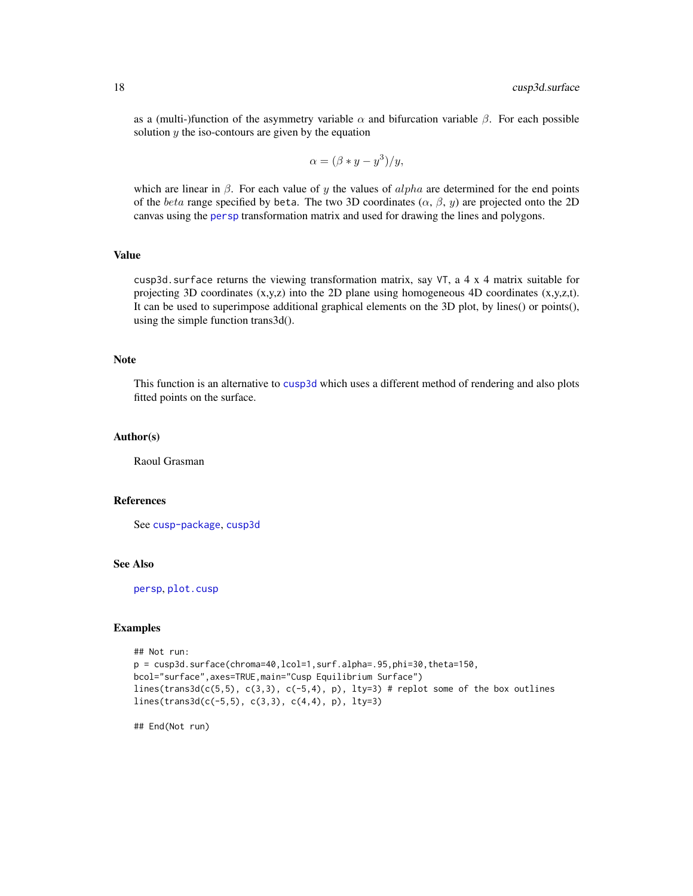<span id="page-17-0"></span>as a (multi-)function of the asymmetry variable  $\alpha$  and bifurcation variable  $\beta$ . For each possible solution  $y$  the iso-contours are given by the equation

$$
\alpha = (\beta * y - y^3)/y,
$$

which are linear in  $\beta$ . For each value of y the values of alpha are determined for the end points of the beta range specified by beta. The two 3D coordinates  $(\alpha, \beta, \gamma)$  are projected onto the 2D canvas using the [persp](#page-0-0) transformation matrix and used for drawing the lines and polygons.

# Value

cusp3d.surface returns the viewing transformation matrix, say VT, a 4 x 4 matrix suitable for projecting 3D coordinates  $(x,y,z)$  into the 2D plane using homogeneous 4D coordinates  $(x,y,z,t)$ . It can be used to superimpose additional graphical elements on the 3D plot, by lines() or points(), using the simple function trans3d().

#### Note

This function is an alternative to [cusp3d](#page-14-1) which uses a different method of rendering and also plots fitted points on the surface.

# Author(s)

Raoul Grasman

# References

See [cusp-package](#page-1-1), [cusp3d](#page-14-1)

#### See Also

[persp](#page-0-0), [plot.cusp](#page-22-1)

# Examples

```
## Not run:
p = cusp3d.surface(chroma=40,lcol=1,surf.alpha=.95,phi=30,theta=150,
bcol="surface",axes=TRUE,main="Cusp Equilibrium Surface")
lines(trans3d(c(5,5), c(3,3), c(-5,4), p), lty=3) # replot some of the box outlines
lines(trans3d(c(-5,5), c(3,3), c(4,4), p), lty=3)
```
## End(Not run)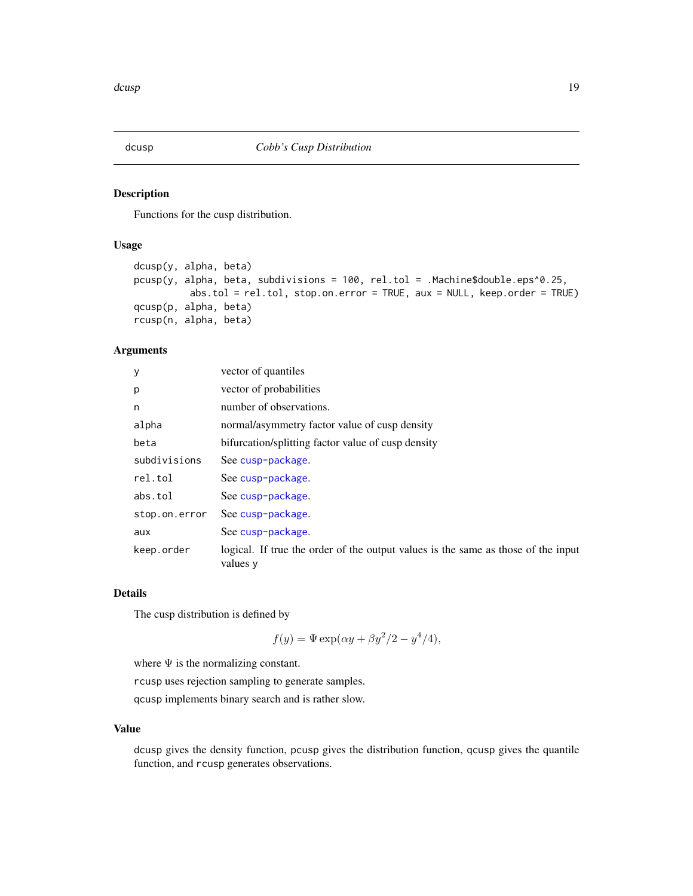<span id="page-18-2"></span><span id="page-18-0"></span>

#### <span id="page-18-1"></span>Description

Functions for the cusp distribution.

#### Usage

```
dcusp(y, alpha, beta)
pcusp(y, alpha, beta, subdivisions = 100, rel.tol = .Machine$double.eps^0.25,
          abs.tol = rel.tol, stop.on.error = TRUE, aux = NULL, keep.order = TRUE)
qcusp(p, alpha, beta)
rcusp(n, alpha, beta)
```
# Arguments

| y             | vector of quantiles                                                                           |
|---------------|-----------------------------------------------------------------------------------------------|
| p             | vector of probabilities                                                                       |
| n             | number of observations.                                                                       |
| alpha         | normal/asymmetry factor value of cusp density                                                 |
| beta          | bifurcation/splitting factor value of cusp density                                            |
| subdivisions  | See cusp-package.                                                                             |
| rel.tol       | See cusp-package.                                                                             |
| abs.tol       | See cusp-package.                                                                             |
| stop.on.error | See cusp-package.                                                                             |
| aux           | See cusp-package.                                                                             |
| keep.order    | logical. If true the order of the output values is the same as those of the input<br>values y |

#### Details

The cusp distribution is defined by

 $f(y) = \Psi \exp(\alpha y + \beta y^2/2 - y^4/4),$ 

where  $\Psi$  is the normalizing constant.

rcusp uses rejection sampling to generate samples.

qcusp implements binary search and is rather slow.

# Value

dcusp gives the density function, pcusp gives the distribution function, qcusp gives the quantile function, and rcusp generates observations.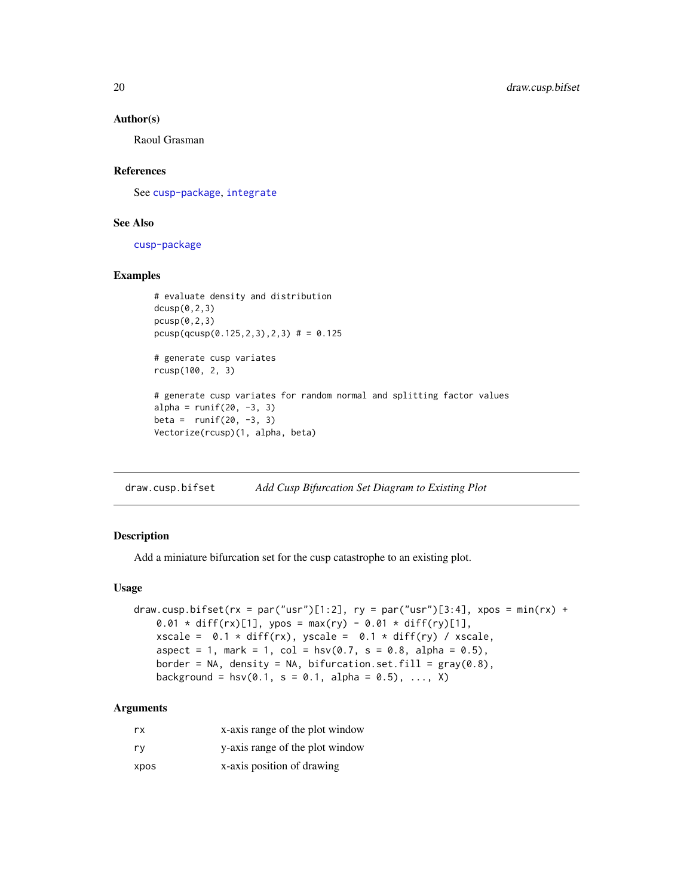#### <span id="page-19-0"></span>Author(s)

Raoul Grasman

# References

See [cusp-package](#page-1-1), [integrate](#page-0-0)

# See Also

[cusp-package](#page-1-1)

# Examples

```
# evaluate density and distribution
dcusp(0,2,3)pcusp(0,2,3)
pcusp(qcusp(0.125,2,3),2,3) # = 0.125# generate cusp variates
rcusp(100, 2, 3)
# generate cusp variates for random normal and splitting factor values
alpha = runif(20, -3, 3)beta = runif(20, -3, 3)Vectorize(rcusp)(1, alpha, beta)
```
draw.cusp.bifset *Add Cusp Bifurcation Set Diagram to Existing Plot*

# Description

Add a miniature bifurcation set for the cusp catastrophe to an existing plot.

#### Usage

```
draw.cusp.bifset(rx = par("usr")[1:2], ry = par("usr")[3:4], xpos = min(rx) +
   0.01 * diff(rx)[1], ypos = max(ry) - 0.01 * diff(ry)[1],
   xscale = 0.1 * diff(rx), yscale = 0.1 * diff(ry) / xscale,
   aspect = 1, mark = 1, col = \text{hsv}(0.7, s = 0.8, alpha = 0.5),
   border = NA, density = NA, bifurcation.set.fill = gray(0.8),
   background = hsv(0.1, s = 0.1, alpha = 0.5), ..., X)
```
# Arguments

| rx   | x-axis range of the plot window |
|------|---------------------------------|
| ry   | y-axis range of the plot window |
| xpos | x-axis position of drawing      |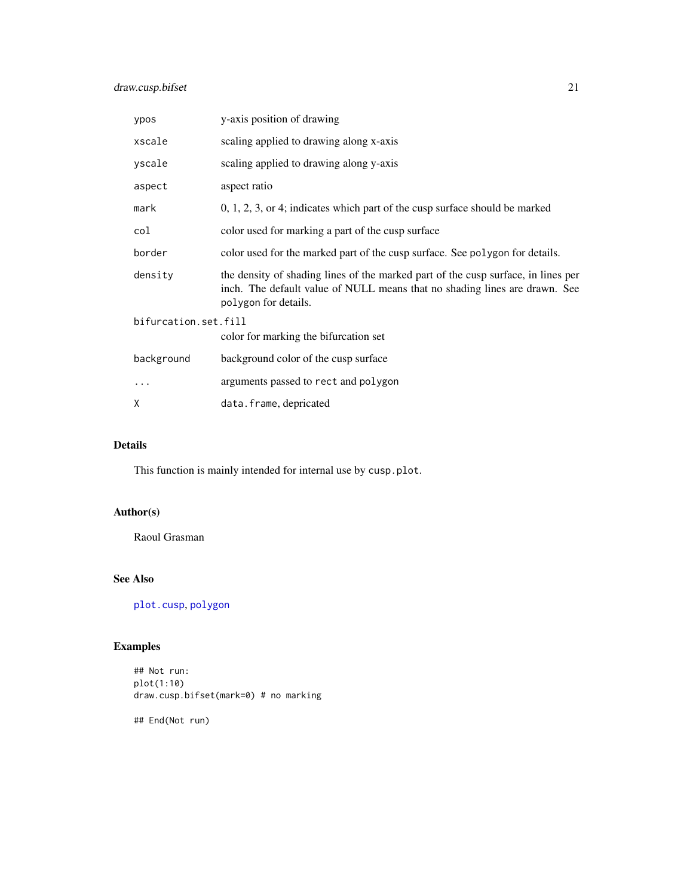<span id="page-20-0"></span>

| ypos                 | y-axis position of drawing                                                                                                                                                              |  |
|----------------------|-----------------------------------------------------------------------------------------------------------------------------------------------------------------------------------------|--|
| xscale               | scaling applied to drawing along x-axis                                                                                                                                                 |  |
| yscale               | scaling applied to drawing along y-axis                                                                                                                                                 |  |
| aspect               | aspect ratio                                                                                                                                                                            |  |
| mark                 | 0, 1, 2, 3, or 4; indicates which part of the cusp surface should be marked                                                                                                             |  |
| col                  | color used for marking a part of the cusp surface                                                                                                                                       |  |
| border               | color used for the marked part of the cusp surface. See polygon for details.                                                                                                            |  |
| density              | the density of shading lines of the marked part of the cusp surface, in lines per<br>inch. The default value of NULL means that no shading lines are drawn. See<br>polygon for details. |  |
| bifurcation.set.fill |                                                                                                                                                                                         |  |
|                      | color for marking the bifurcation set                                                                                                                                                   |  |
| background           | background color of the cusp surface                                                                                                                                                    |  |
| .                    | arguments passed to rect and polygon                                                                                                                                                    |  |
| X                    | data.frame, depricated                                                                                                                                                                  |  |

#### Details

This function is mainly intended for internal use by cusp.plot.

# Author(s)

Raoul Grasman

# See Also

[plot.cusp](#page-22-1), [polygon](#page-0-0)

# Examples

## Not run: plot(1:10) draw.cusp.bifset(mark=0) # no marking

## End(Not run)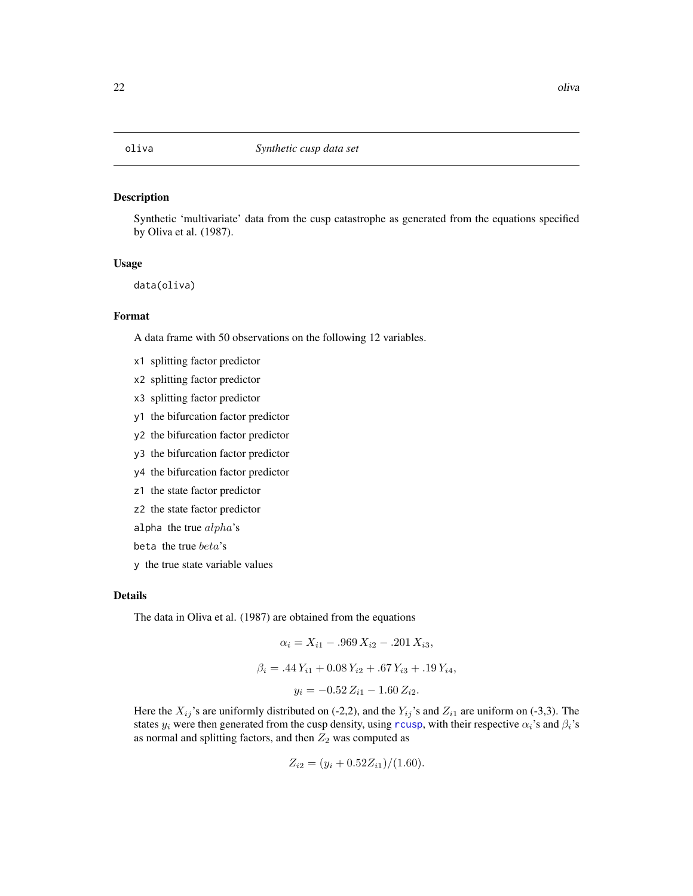<span id="page-21-0"></span>

#### Description

Synthetic 'multivariate' data from the cusp catastrophe as generated from the equations specified by Oliva et al. (1987).

#### Usage

data(oliva)

#### Format

A data frame with 50 observations on the following 12 variables.

- x1 splitting factor predictor
- x2 splitting factor predictor
- x3 splitting factor predictor
- y1 the bifurcation factor predictor
- y2 the bifurcation factor predictor
- y3 the bifurcation factor predictor
- y4 the bifurcation factor predictor
- z1 the state factor predictor
- z2 the state factor predictor
- alpha the true  $alpha's$
- beta the true beta's
- y the true state variable values

#### Details

The data in Oliva et al. (1987) are obtained from the equations

$$
\alpha_i = X_{i1} - .969 X_{i2} - .201 X_{i3},
$$
  

$$
\beta_i = .44 Y_{i1} + 0.08 Y_{i2} + .67 Y_{i3} + .19 Y_{i4},
$$
  

$$
y_i = -0.52 Z_{i1} - 1.60 Z_{i2}.
$$

Here the  $X_{ij}$ 's are uniformly distributed on (-2,2), and the  $Y_{ij}$ 's and  $Z_{i1}$  are uniform on (-3,3). The states  $y_i$  were then generated from the cusp density, using [rcusp](#page-18-1), with their respective  $\alpha_i$ 's and  $\beta_i$ 's as normal and splitting factors, and then  $Z_2$  was computed as

$$
Z_{i2} = (y_i + 0.52Z_{i1})/(1.60).
$$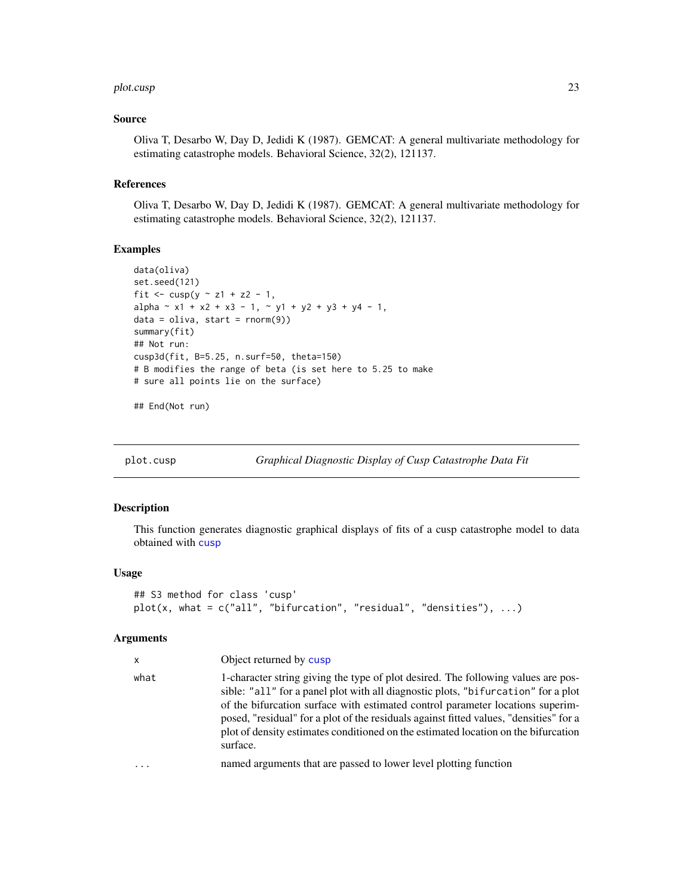#### <span id="page-22-0"></span>plot.cusp 23

#### Source

Oliva T, Desarbo W, Day D, Jedidi K (1987). GEMCAT: A general multivariate methodology for estimating catastrophe models. Behavioral Science, 32(2), 121137.

#### References

Oliva T, Desarbo W, Day D, Jedidi K (1987). GEMCAT: A general multivariate methodology for estimating catastrophe models. Behavioral Science, 32(2), 121137.

# Examples

```
data(oliva)
set.seed(121)
fit \leq - \text{cusp}(y \sim z1 + z2 - 1,alpha ~ x1 + x2 + x3 - 1, ~ y1 + y2 + y3 + y4 - 1,
data = olive, start = rnorm(9)summary(fit)
## Not run:
cusp3d(fit, B=5.25, n.surf=50, theta=150)
# B modifies the range of beta (is set here to 5.25 to make
# sure all points lie on the surface)
```
## End(Not run)

<span id="page-22-1"></span>plot.cusp *Graphical Diagnostic Display of Cusp Catastrophe Data Fit*

#### Description

This function generates diagnostic graphical displays of fits of a cusp catastrophe model to data obtained with [cusp](#page-4-1)

#### Usage

```
## S3 method for class 'cusp'
plot(x, what = c("all", "bifurcation", "residual", "densities"), ...)
```
#### Arguments

| x    | Object returned by cusp                                                                                                                                                                                                                                                                                                                                                                                                                              |
|------|------------------------------------------------------------------------------------------------------------------------------------------------------------------------------------------------------------------------------------------------------------------------------------------------------------------------------------------------------------------------------------------------------------------------------------------------------|
| what | 1-character string giving the type of plot desired. The following values are pos-<br>sible: "all" for a panel plot with all diagnostic plots, "bifurcation" for a plot<br>of the bifurcation surface with estimated control parameter locations superim-<br>posed, "residual" for a plot of the residuals against fitted values, "densities" for a<br>plot of density estimates conditioned on the estimated location on the bifurcation<br>surface. |
| .    | named arguments that are passed to lower level plotting function                                                                                                                                                                                                                                                                                                                                                                                     |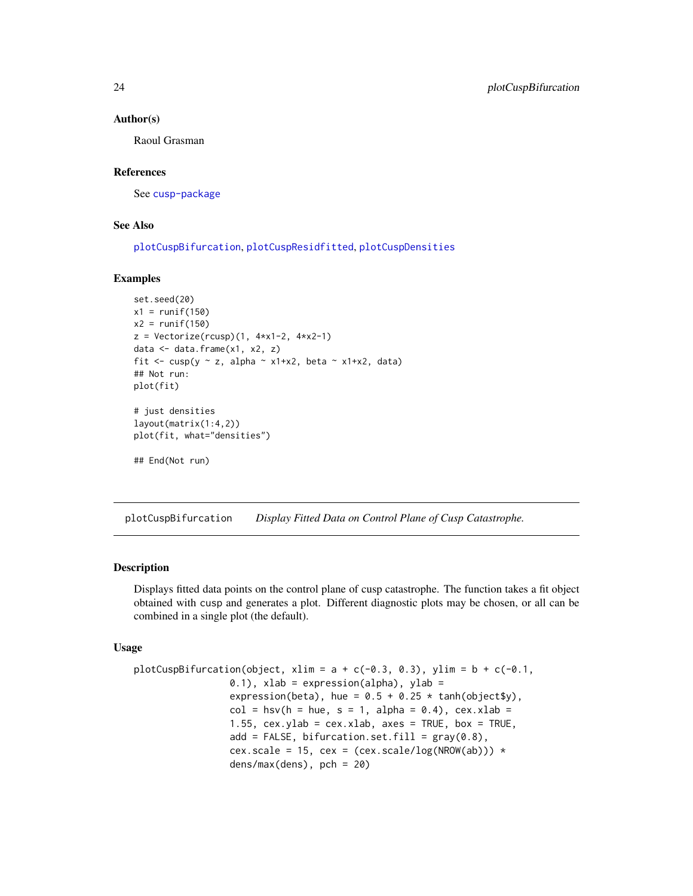#### Author(s)

Raoul Grasman

#### References

See [cusp-package](#page-1-1)

# See Also

[plotCuspBifurcation](#page-23-1), [plotCuspResidfitted](#page-26-1), [plotCuspDensities](#page-25-1)

#### Examples

```
set.seed(20)
x1 = runif(150)x2 = runif(150)z = Vectorize(rcusp)(1, 4*x1-2, 4*x2-1)data <- data.frame(x1, x2, z)
fit <- cusp(y \sim z, alpha \sim x1+x2, beta \sim x1+x2, data)
## Not run:
plot(fit)
# just densities
layout(matrix(1:4,2))
plot(fit, what="densities")
## End(Not run)
```
<span id="page-23-1"></span>plotCuspBifurcation *Display Fitted Data on Control Plane of Cusp Catastrophe.*

#### **Description**

Displays fitted data points on the control plane of cusp catastrophe. The function takes a fit object obtained with cusp and generates a plot. Different diagnostic plots may be chosen, or all can be combined in a single plot (the default).

#### Usage

```
plotCuspBifurcation(object, xlim = a + c(-0.3, 0.3), ylim = b + c(-0.1,0.1), xlab = expression(alpha), ylab =
                 expression(beta), hue = 0.5 + 0.25 * \tanh(\text{object}\$y),
                 col = hsv(h = hue, s = 1, alpha = 0.4), cex.xlab =
                 1.55, cex.ylab = cex.xlab, axes = TRUE, box = TRUE,add = FALSE, bifurcation.set.fill = gray(0.8),
                 cex.scale = 15, cex = (cex.scale/log(NROW(ab))) *dens/max(dens), pch = 20)
```
<span id="page-23-0"></span>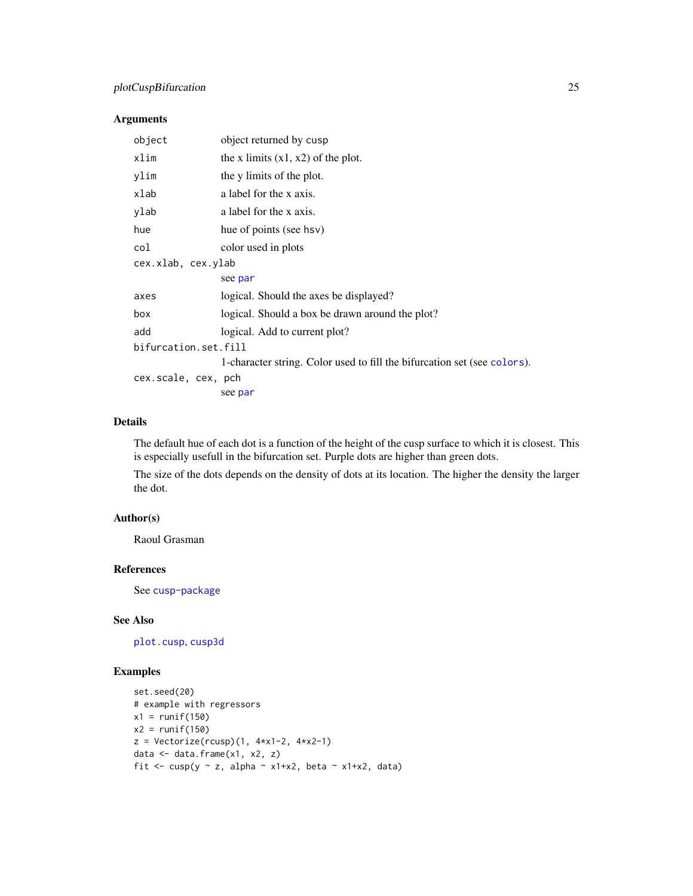# <span id="page-24-0"></span>plotCuspBifurcation 25

### Arguments

| object               | object returned by cusp                                                  |  |
|----------------------|--------------------------------------------------------------------------|--|
| xlim                 | the x limits $(x1, x2)$ of the plot.                                     |  |
| ylim                 | the y limits of the plot.                                                |  |
| xlab                 | a label for the x axis.                                                  |  |
| ylab                 | a label for the x axis.                                                  |  |
| hue                  | hue of points (see hsv)                                                  |  |
| col                  | color used in plots                                                      |  |
| cex.xlab, cex.ylab   |                                                                          |  |
|                      | see par                                                                  |  |
| axes                 | logical. Should the axes be displayed?                                   |  |
| box                  | logical. Should a box be drawn around the plot?                          |  |
| add                  | logical. Add to current plot?                                            |  |
| bifurcation.set.fill |                                                                          |  |
|                      | 1-character string. Color used to fill the bifurcation set (see colors). |  |
| cex.scale, cex, pch  |                                                                          |  |
|                      | see par                                                                  |  |

### Details

The default hue of each dot is a function of the height of the cusp surface to which it is closest. This is especially usefull in the bifurcation set. Purple dots are higher than green dots.

The size of the dots depends on the density of dots at its location. The higher the density the larger the dot.

# Author(s)

Raoul Grasman

# References

See [cusp-package](#page-1-1)

#### See Also

[plot.cusp](#page-22-1), [cusp3d](#page-14-1)

# Examples

```
set.seed(20)
# example with regressors
x1 = runif(150)x2 = runif(150)z = Vectorize(rcusp)(1, 4*x1-2, 4*x2-1)data <- data.frame(x1, x2, z)
fit <- cusp(y \sim z, alpha \sim x1+x2, beta \sim x1+x2, data)
```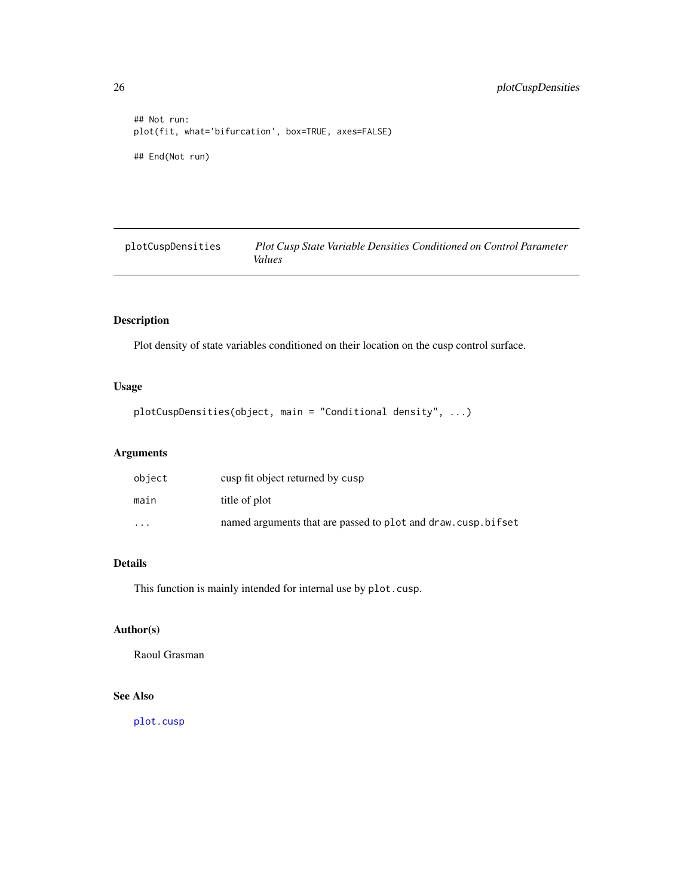```
## Not run:
plot(fit, what='bifurcation', box=TRUE, axes=FALSE)
## End(Not run)
```
<span id="page-25-1"></span>plotCuspDensities *Plot Cusp State Variable Densities Conditioned on Control Parameter Values*

# Description

Plot density of state variables conditioned on their location on the cusp control surface.

# Usage

plotCuspDensities(object, main = "Conditional density", ...)

# Arguments

| object   | cusp fit object returned by cusp                             |
|----------|--------------------------------------------------------------|
| main     | title of plot                                                |
| $\cdots$ | named arguments that are passed to plot and draw.cusp.bifset |

# Details

This function is mainly intended for internal use by plot.cusp.

# Author(s)

Raoul Grasman

# See Also

[plot.cusp](#page-22-1)

<span id="page-25-0"></span>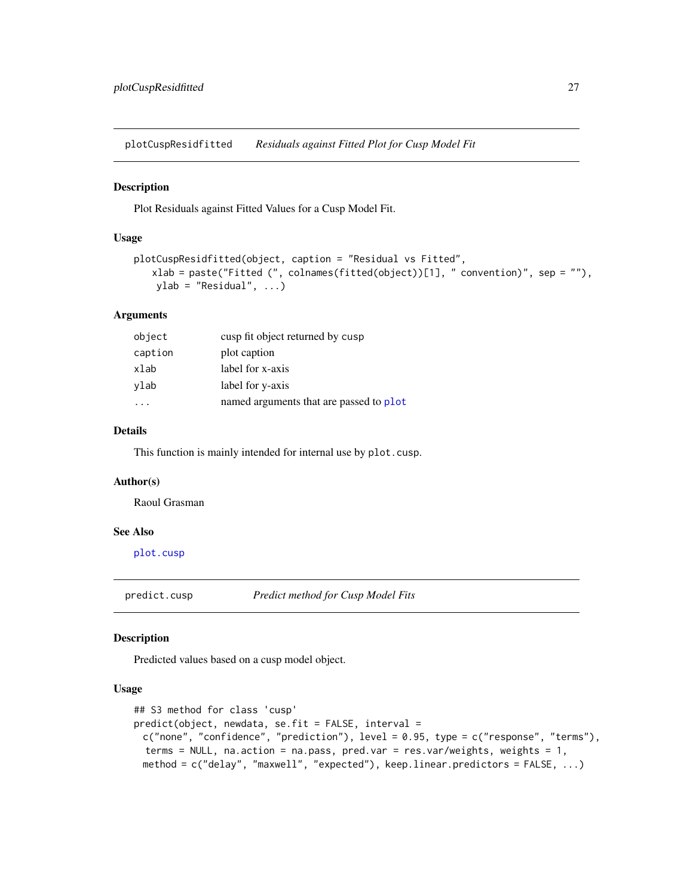<span id="page-26-1"></span><span id="page-26-0"></span>plotCuspResidfitted *Residuals against Fitted Plot for Cusp Model Fit*

#### Description

Plot Residuals against Fitted Values for a Cusp Model Fit.

# Usage

```
plotCuspResidfitted(object, caption = "Residual vs Fitted",
   xlab = paste("Fitted (", colnames(fitted(object))[1], " convention)", sep = ""),
   ylab = "Residual", ...)
```
# Arguments

| object  | cusp fit object returned by cusp        |
|---------|-----------------------------------------|
| caption | plot caption                            |
| xlab    | label for x-axis                        |
| ylab    | label for y-axis                        |
|         | named arguments that are passed to plot |

# Details

This function is mainly intended for internal use by plot.cusp.

#### Author(s)

Raoul Grasman

#### See Also

[plot.cusp](#page-22-1)

predict.cusp *Predict method for Cusp Model Fits*

# Description

Predicted values based on a cusp model object.

# Usage

```
## S3 method for class 'cusp'
predict(object, newdata, se.fit = FALSE, interval =
 c("none", "confidence", "prediction"), level = 0.95, type = c("response", "terms"),
 terms = NULL, na.action = na.pass, pred.var = res.var/weights, weights = 1,
 method = c("delay", "maxwell", "expected"), keep.linear.predictors = FALSE, ...)
```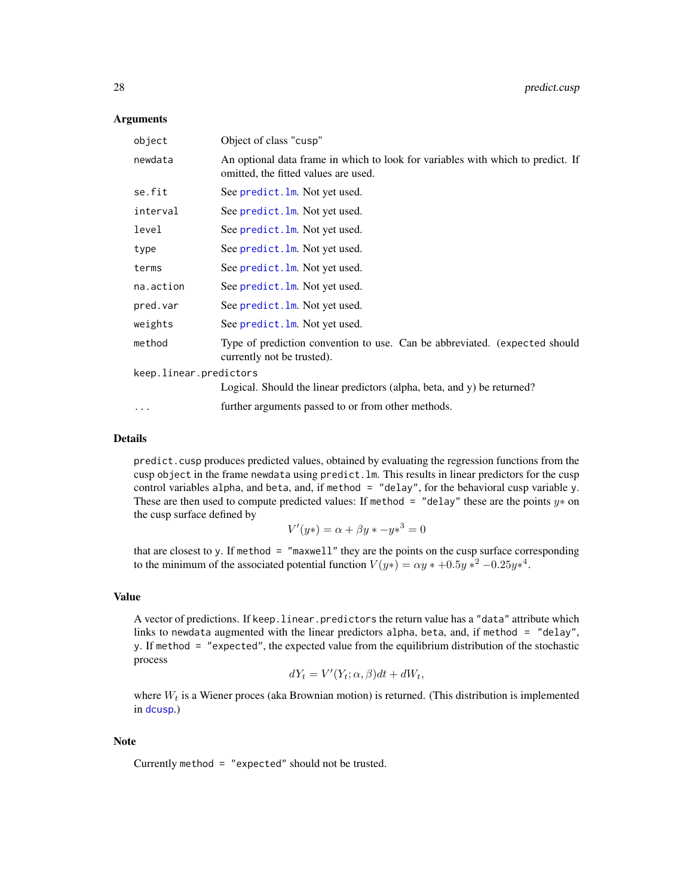#### <span id="page-27-0"></span>**Arguments**

| object                 | Object of class "cusp"                                                                                                  |
|------------------------|-------------------------------------------------------------------------------------------------------------------------|
| newdata                | An optional data frame in which to look for variables with which to predict. If<br>omitted, the fitted values are used. |
| se.fit                 | See predict. Im. Not yet used.                                                                                          |
| interval               | See predict. Im. Not yet used.                                                                                          |
| level                  | See predict. Im. Not yet used.                                                                                          |
| type                   | See predict. Im. Not yet used.                                                                                          |
| terms                  | See predict. Im. Not yet used.                                                                                          |
| na.action              | See predict. Im. Not yet used.                                                                                          |
| pred.var               | See predict. Im. Not yet used.                                                                                          |
| weights                | See predict. Im. Not yet used.                                                                                          |
| method                 | Type of prediction convention to use. Can be abbreviated. (expected should<br>currently not be trusted).                |
| keep.linear.predictors |                                                                                                                         |
|                        | Logical. Should the linear predictors (alpha, beta, and y) be returned?                                                 |
|                        |                                                                                                                         |

... further arguments passed to or from other methods.

# Details

predict.cusp produces predicted values, obtained by evaluating the regression functions from the cusp object in the frame newdata using predict.lm. This results in linear predictors for the cusp control variables alpha, and beta, and, if method = "delay", for the behavioral cusp variable y. These are then used to compute predicted values: If method = "delay" these are the points  $y*$  on the cusp surface defined by

$$
V'(y*) = \alpha + \beta y * -y*^3 = 0
$$

that are closest to y. If method  $=$  "maxwell" they are the points on the cusp surface corresponding to the minimum of the associated potential function  $V(y*) = \alpha y * +0.5y *^2 -0.25y *^4$ .

#### Value

A vector of predictions. If keep.linear.predictors the return value has a "data" attribute which links to newdata augmented with the linear predictors alpha, beta, and, if method = "delay", y. If method = "expected", the expected value from the equilibrium distribution of the stochastic process

$$
dY_t = V'(Y_t; \alpha, \beta)dt + dW_t,
$$

where  $W_t$  is a Wiener proces (aka Brownian motion) is returned. (This distribution is implemented in [dcusp](#page-18-2).)

#### Note

Currently method = "expected" should not be trusted.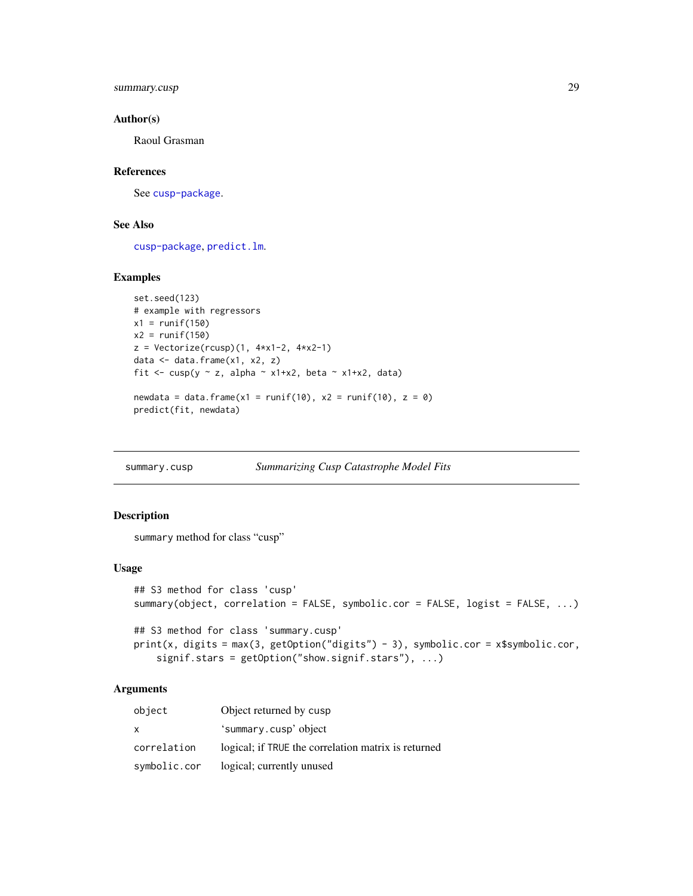<span id="page-28-0"></span>summary.cusp 29

#### Author(s)

Raoul Grasman

# References

See [cusp-package](#page-1-1).

# See Also

[cusp-package](#page-1-1), [predict.lm](#page-0-0).

#### Examples

```
set.seed(123)
# example with regressors
x1 = runif(150)x2 = runif(150)z = Vectorize(rcusp)(1, 4*x1-2, 4*x2-1)data <- data.frame(x1, x2, z)
fit <- cusp(y \sim z, alpha \sim x1+x2, beta \sim x1+x2, data)
newdata = data.frame(x1 = runif(10), x2 = runif(10), z = 0)
predict(fit, newdata)
```
<span id="page-28-1"></span>summary.cusp *Summarizing Cusp Catastrophe Model Fits*

#### Description

summary method for class "cusp"

#### Usage

```
## S3 method for class 'cusp'
summary(object, correlation = FALSE, symbolic.cor = FALSE, logist = FALSE, ...)
## S3 method for class 'summary.cusp'
print(x, digits = max(3, getOption("digits") - 3), symbolic.cor = x$symbolic.cor,
    signif.stars = getOption("show.signif.stars"), ...)
```
#### Arguments

| object       | Object returned by cusp                             |
|--------------|-----------------------------------------------------|
| X            | 'summary.cusp'object                                |
| correlation  | logical; if TRUE the correlation matrix is returned |
| symbolic.cor | logical; currently unused                           |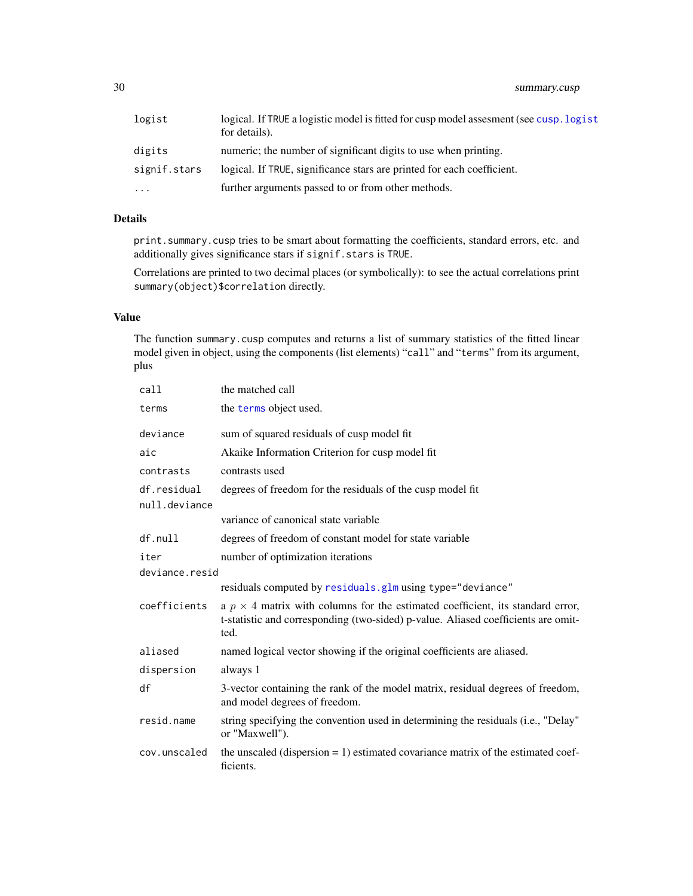<span id="page-29-0"></span>30 summary.cusp

| logist       | logical. If TRUE a logistic model is fitted for cusp model assessment (see cusp. logist<br>for details). |
|--------------|----------------------------------------------------------------------------------------------------------|
| digits       | numeric; the number of significant digits to use when printing.                                          |
| signif.stars | logical. If TRUE, significance stars are printed for each coefficient.                                   |
| $\ddotsc$    | further arguments passed to or from other methods.                                                       |

# Details

print.summary.cusp tries to be smart about formatting the coefficients, standard errors, etc. and additionally gives significance stars if signif.stars is TRUE.

Correlations are printed to two decimal places (or symbolically): to see the actual correlations print summary(object)\$correlation directly.

# Value

The function summary.cusp computes and returns a list of summary statistics of the fitted linear model given in object, using the components (list elements) "call" and "terms" from its argument, plus

| call                         | the matched call                                                                                                                                                                   |  |
|------------------------------|------------------------------------------------------------------------------------------------------------------------------------------------------------------------------------|--|
| terms                        | the terms object used.                                                                                                                                                             |  |
| deviance                     | sum of squared residuals of cusp model fit                                                                                                                                         |  |
| aic                          | Akaike Information Criterion for cusp model fit                                                                                                                                    |  |
| contrasts                    | contrasts used                                                                                                                                                                     |  |
| df.residual<br>null.deviance | degrees of freedom for the residuals of the cusp model fit                                                                                                                         |  |
|                              | variance of canonical state variable                                                                                                                                               |  |
| df.null                      | degrees of freedom of constant model for state variable                                                                                                                            |  |
| iter                         | number of optimization iterations                                                                                                                                                  |  |
| deviance.resid               |                                                                                                                                                                                    |  |
|                              | residuals computed by residuals.glm using type="deviance"                                                                                                                          |  |
| coefficients                 | a $p \times 4$ matrix with columns for the estimated coefficient, its standard error,<br>t-statistic and corresponding (two-sided) p-value. Aliased coefficients are omit-<br>ted. |  |
| aliased                      | named logical vector showing if the original coefficients are aliased.                                                                                                             |  |
| dispersion                   | always 1                                                                                                                                                                           |  |
| df                           | 3-vector containing the rank of the model matrix, residual degrees of freedom,<br>and model degrees of freedom.                                                                    |  |
| resid.name                   | string specifying the convention used in determining the residuals (i.e., "Delay"<br>or "Maxwell").                                                                                |  |
| cov.unscaled                 | the unscaled (dispersion $= 1$ ) estimated covariance matrix of the estimated coef-<br>ficients.                                                                                   |  |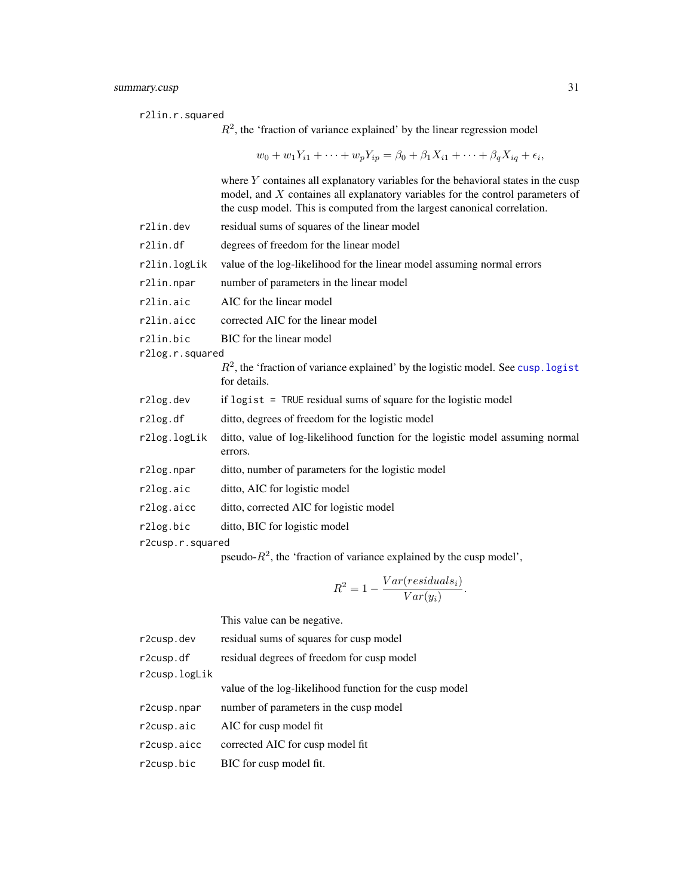r2lin.r.squared

 $R<sup>2</sup>$ , the 'fraction of variance explained' by the linear regression model

 $w_0 + w_1 Y_{i1} + \cdots + w_p Y_{ip} = \beta_0 + \beta_1 X_{i1} + \cdots + \beta_q X_{iq} + \epsilon_i,$ 

where Y containes all explanatory variables for the behavioral states in the cusp model, and X containes all explanatory variables for the control parameters of the cusp model. This is computed from the largest canonical correlation.

r2lin.dev residual sums of squares of the linear model r2lin.df degrees of freedom for the linear model r2lin.logLik value of the log-likelihood for the linear model assuming normal errors r2lin.npar number of parameters in the linear model r2lin.aic AIC for the linear model r2lin.aicc corrected AIC for the linear model r2lin.bic BIC for the linear model r2log.r.squared  $R<sup>2</sup>$ , the 'fraction of variance explained' by the logistic model. See cusp. logist for details. r2log.dev if logist = TRUE residual sums of square for the logistic model r2log.df ditto, degrees of freedom for the logistic model r2log.logLik ditto, value of log-likelihood function for the logistic model assuming normal errors. r2log.npar ditto, number of parameters for the logistic model r2log.aic ditto, AIC for logistic model r2log.aicc ditto, corrected AIC for logistic model r2log.bic ditto, BIC for logistic model r2cusp.r.squared

pseudo- $R^2$ , the 'fraction of variance explained by the cusp model',

$$
R^2 = 1 - \frac{Var(residuals_i)}{Var(y_i)}.
$$

This value can be negative.

| r2cusp.dev    | residual sums of squares for cusp model                 |
|---------------|---------------------------------------------------------|
| r2cusp.df     | residual degrees of freedom for cusp model              |
| r2cusp.logLik |                                                         |
|               | value of the log-likelihood function for the cusp model |
| r2cusp.npar   | number of parameters in the cusp model                  |
| r2cusp.aic    | AIC for cusp model fit                                  |
| r2cusp.aicc   | corrected AIC for cusp model fit                        |
| r2cusp.bic    | BIC for cusp model fit.                                 |
|               |                                                         |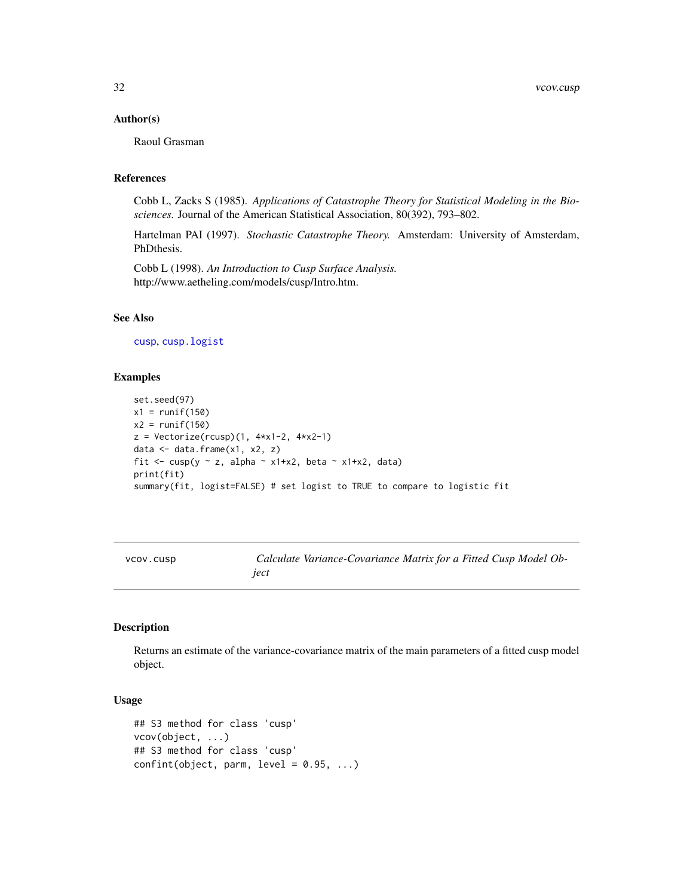#### <span id="page-31-0"></span>Author(s)

Raoul Grasman

# References

Cobb L, Zacks S (1985). *Applications of Catastrophe Theory for Statistical Modeling in the Biosciences.* Journal of the American Statistical Association, 80(392), 793–802.

Hartelman PAI (1997). *Stochastic Catastrophe Theory.* Amsterdam: University of Amsterdam, PhDthesis.

Cobb L (1998). *An Introduction to Cusp Surface Analysis.* http://www.aetheling.com/models/cusp/Intro.htm.

# See Also

[cusp](#page-4-1), [cusp.logist](#page-9-1)

#### Examples

```
set.seed(97)
x1 = runif(150)x2 = runif(150)z = Vectorize(rcusp)(1, 4*x1-2, 4*x2-1)data \leq data.frame(x1, x2, z)fit \leq cusp(y \sim z, alpha \sim x1+x2, beta \sim x1+x2, data)
print(fit)
summary(fit, logist=FALSE) # set logist to TRUE to compare to logistic fit
```

| VCOV.CUSD | Calculate Variance-Covariance Matrix for a Fitted Cusp Model Ob- |
|-----------|------------------------------------------------------------------|
|           | ject                                                             |

# Description

Returns an estimate of the variance-covariance matrix of the main parameters of a fitted cusp model object.

#### Usage

```
## S3 method for class 'cusp'
vcov(object, ...)
## S3 method for class 'cusp'
confint(object, parm, level = 0.95, ...)
```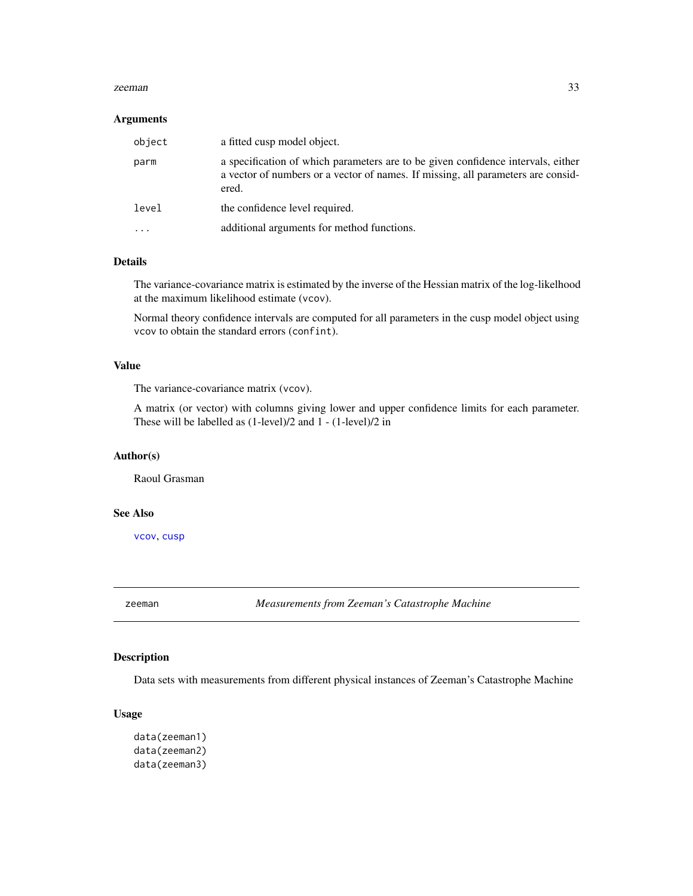#### <span id="page-32-0"></span>zeeman 33

#### Arguments

| object    | a fitted cusp model object.                                                                                                                                                   |
|-----------|-------------------------------------------------------------------------------------------------------------------------------------------------------------------------------|
| parm      | a specification of which parameters are to be given confidence intervals, either<br>a vector of numbers or a vector of names. If missing, all parameters are consid-<br>ered. |
| level     | the confidence level required.                                                                                                                                                |
| $\ddotsc$ | additional arguments for method functions.                                                                                                                                    |

# Details

The variance-covariance matrix is estimated by the inverse of the Hessian matrix of the log-likelhood at the maximum likelihood estimate (vcov).

Normal theory confidence intervals are computed for all parameters in the cusp model object using vcov to obtain the standard errors (confint).

# Value

The variance-covariance matrix (vcov).

A matrix (or vector) with columns giving lower and upper confidence limits for each parameter. These will be labelled as (1-level)/2 and 1 - (1-level)/2 in

#### Author(s)

Raoul Grasman

# See Also

[vcov](#page-0-0), [cusp](#page-4-1)

zeeman *Measurements from Zeeman's Catastrophe Machine*

#### Description

Data sets with measurements from different physical instances of Zeeman's Catastrophe Machine

#### Usage

```
data(zeeman1)
data(zeeman2)
data(zeeman3)
```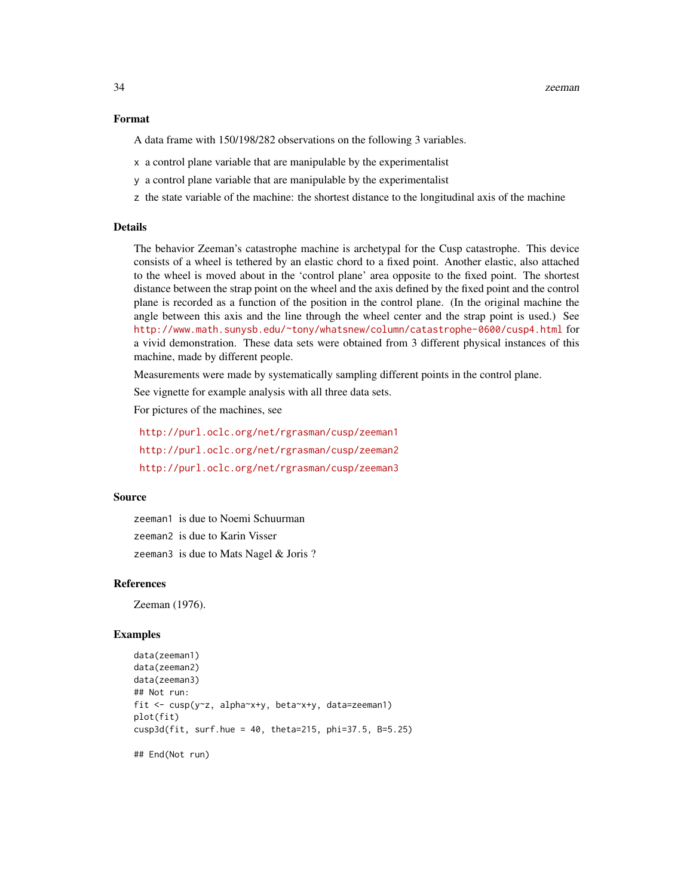#### Format

A data frame with 150/198/282 observations on the following 3 variables.

- x a control plane variable that are manipulable by the experimentalist
- y a control plane variable that are manipulable by the experimentalist
- z the state variable of the machine: the shortest distance to the longitudinal axis of the machine

#### Details

The behavior Zeeman's catastrophe machine is archetypal for the Cusp catastrophe. This device consists of a wheel is tethered by an elastic chord to a fixed point. Another elastic, also attached to the wheel is moved about in the 'control plane' area opposite to the fixed point. The shortest distance between the strap point on the wheel and the axis defined by the fixed point and the control plane is recorded as a function of the position in the control plane. (In the original machine the angle between this axis and the line through the wheel center and the strap point is used.) See <http://www.math.sunysb.edu/~tony/whatsnew/column/catastrophe-0600/cusp4.html> for a vivid demonstration. These data sets were obtained from 3 different physical instances of this machine, made by different people.

Measurements were made by systematically sampling different points in the control plane.

See vignette for example analysis with all three data sets.

For pictures of the machines, see

<http://purl.oclc.org/net/rgrasman/cusp/zeeman1> <http://purl.oclc.org/net/rgrasman/cusp/zeeman2> <http://purl.oclc.org/net/rgrasman/cusp/zeeman3>

#### Source

zeeman1 is due to Noemi Schuurman zeeman2 is due to Karin Visser zeeman3 is due to Mats Nagel & Joris ?

#### **References**

Zeeman (1976).

#### Examples

```
data(zeeman1)
data(zeeman2)
data(zeeman3)
## Not run:
fit <- cusp(y~z, alpha~x+y, beta~x+y, data=zeeman1)
plot(fit)
cusp3d(fit, surf.hue = 40, theta=215, phi=37.5, B=5.25)
## End(Not run)
```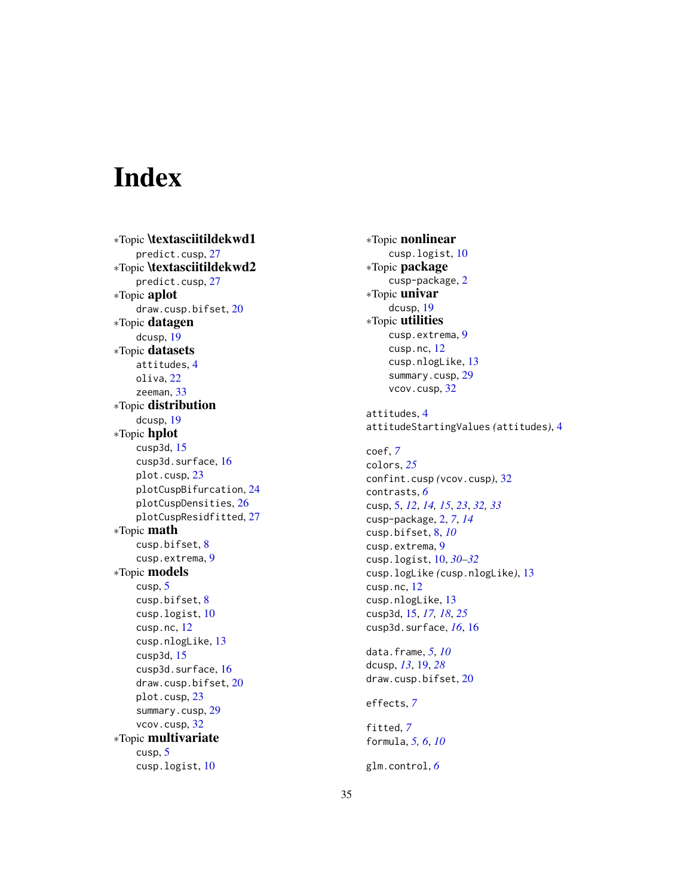# <span id="page-34-0"></span>Index

∗Topic \textasciitildekwd1 predict.cusp , [27](#page-26-0) ∗Topic \textasciitildekwd2 predict.cusp , [27](#page-26-0) ∗Topic aplot draw.cusp.bifset , [20](#page-19-0) ∗Topic datagen dcusp , [19](#page-18-0) ∗Topic datasets attitudes , [4](#page-3-0) oliva , [22](#page-21-0) zeeman , [33](#page-32-0) ∗Topic distribution dcusp , [19](#page-18-0) ∗Topic hplot cusp3d , [15](#page-14-0) cusp3d.surface , [16](#page-15-0) plot.cusp , [23](#page-22-0) plotCuspBifurcation , [24](#page-23-0) plotCuspDensities , [26](#page-25-0) plotCuspResidfitted , [27](#page-26-0) ∗Topic math cusp.bifset , [8](#page-7-0) cusp.extrema, [9](#page-8-0) ∗Topic models cusp , [5](#page-4-0) cusp.bifset , [8](#page-7-0) cusp.logist , [10](#page-9-0) cusp.nc , [12](#page-11-0) cusp.nlogLike , [13](#page-12-0) cusp3d , [15](#page-14-0) cusp3d.surface , [16](#page-15-0) draw.cusp.bifset , [20](#page-19-0) plot.cusp , [23](#page-22-0) summary.cusp, [29](#page-28-0) vcov.cusp , [32](#page-31-0) ∗Topic multivariate cusp , [5](#page-4-0) cusp.logist , [10](#page-9-0)

∗Topic nonlinear cusp.logist , [10](#page-9-0) ∗Topic package cusp-package, [2](#page-1-0) ∗Topic univar dcusp , [19](#page-18-0) ∗Topic utilities cusp.extrema , [9](#page-8-0) cusp.nc , [12](#page-11-0) cusp.nlogLike , [13](#page-12-0) summary.cusp, [29](#page-28-0) vcov.cusp , [32](#page-31-0) attitudes , [4](#page-3-0) attitudeStartingValues *(*attitudes *)* , [4](#page-3-0) coef , *[7](#page-6-0)* colors , *[25](#page-24-0)* confint.cusp *(*vcov.cusp *)* , [32](#page-31-0) contrasts , *[6](#page-5-0)* cusp , [5](#page-4-0) , *[12](#page-11-0)* , *[14](#page-13-0) , [15](#page-14-0)* , *[23](#page-22-0)* , *[32](#page-31-0) , [33](#page-32-0)* cusp-package , [2](#page-1-0) , *[7](#page-6-0)* , *[14](#page-13-0)* cusp.bifset , [8](#page-7-0) , *[10](#page-9-0)* cusp.extrema , [9](#page-8-0) cusp.logist , [10](#page-9-0) , *[30](#page-29-0)[–32](#page-31-0)* cusp.logLike *(*cusp.nlogLike *)* , [13](#page-12-0) cusp.nc , [12](#page-11-0) cusp.nlogLike , [13](#page-12-0) cusp3d , [15](#page-14-0) , *[17,](#page-16-0) [18](#page-17-0)* , *[25](#page-24-0)* cusp3d.surface , *[16](#page-15-0)* , [16](#page-15-0) data.frame , *[5](#page-4-0)* , *[10](#page-9-0)* dcusp , *[13](#page-12-0)* , [19](#page-18-0) , *[28](#page-27-0)* draw.cusp.bifset , [20](#page-19-0) effects , *[7](#page-6-0)* fitted , *[7](#page-6-0)* formula , *[5](#page-4-0) , [6](#page-5-0)* , *[10](#page-9-0)* glm.control , *[6](#page-5-0)*